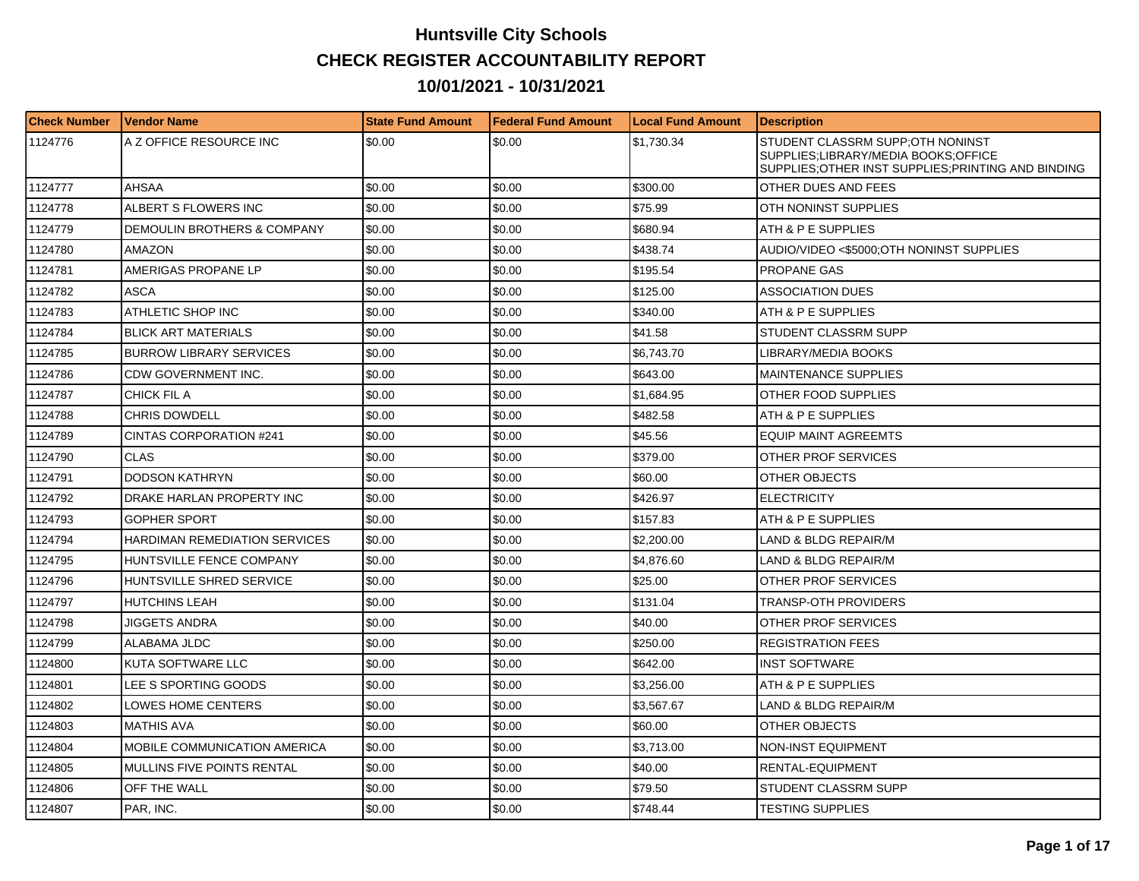## **Huntsville City Schools CHECK REGISTER ACCOUNTABILITY REPORT 10/01/2021 - 10/31/2021**

| <b>Check Number</b> | <b>IVendor Name</b>               | <b>State Fund Amount</b> | <b>IFederal Fund Amount</b> | <b>ILocal Fund Amount</b> | <b>Description</b>                                                                                                             |
|---------------------|-----------------------------------|--------------------------|-----------------------------|---------------------------|--------------------------------------------------------------------------------------------------------------------------------|
| 1124776             | A Z OFFICE RESOURCE INC           | \$0.00                   | \$0.00                      | \$1,730.34                | STUDENT CLASSRM SUPP;OTH NONINST<br>SUPPLIES;LIBRARY/MEDIA BOOKS;OFFICE<br>SUPPLIES; OTHER INST SUPPLIES; PRINTING AND BINDING |
| 1124777             | <b>AHSAA</b>                      | \$0.00                   | \$0.00                      | \$300.00                  | OTHER DUES AND FEES                                                                                                            |
| 1124778             | ALBERT S FLOWERS INC              | \$0.00                   | \$0.00                      | \$75.99                   | OTH NONINST SUPPLIES                                                                                                           |
| 1124779             | DEMOULIN BROTHERS & COMPANY       | \$0.00                   | \$0.00                      | \$680.94                  | ATH & P E SUPPLIES                                                                                                             |
| 1124780             | <b>AMAZON</b>                     | \$0.00                   | \$0.00                      | \$438.74                  | AUDIO/VIDEO <\$5000;OTH NONINST SUPPLIES                                                                                       |
| 1124781             | AMERIGAS PROPANE LP               | \$0.00                   | \$0.00                      | \$195.54                  | <b>PROPANE GAS</b>                                                                                                             |
| 1124782             | <b>ASCA</b>                       | \$0.00                   | \$0.00                      | \$125.00                  | <b>ASSOCIATION DUES</b>                                                                                                        |
| 1124783             | ATHLETIC SHOP INC                 | \$0.00                   | \$0.00                      | \$340.00                  | ATH & P E SUPPLIES                                                                                                             |
| 1124784             | <b>BLICK ART MATERIALS</b>        | \$0.00                   | \$0.00                      | \$41.58                   | STUDENT CLASSRM SUPP                                                                                                           |
| 1124785             | <b>BURROW LIBRARY SERVICES</b>    | \$0.00                   | \$0.00                      | \$6.743.70                | <b>LIBRARY/MEDIA BOOKS</b>                                                                                                     |
| 1124786             | CDW GOVERNMENT INC.               | \$0.00                   | \$0.00                      | \$643.00                  | <b>MAINTENANCE SUPPLIES</b>                                                                                                    |
| 1124787             | CHICK FIL A                       | \$0.00                   | \$0.00                      | \$1,684.95                | OTHER FOOD SUPPLIES                                                                                                            |
| 1124788             | <b>CHRIS DOWDELL</b>              | \$0.00                   | \$0.00                      | \$482.58                  | ATH & P E SUPPLIES                                                                                                             |
| 1124789             | <b>CINTAS CORPORATION #241</b>    | \$0.00                   | \$0.00                      | \$45.56                   | <b>EQUIP MAINT AGREEMTS</b>                                                                                                    |
| 1124790             | <b>CLAS</b>                       | \$0.00                   | \$0.00                      | \$379.00                  | OTHER PROF SERVICES                                                                                                            |
| 1124791             | <b>DODSON KATHRYN</b>             | \$0.00                   | \$0.00                      | \$60.00                   | OTHER OBJECTS                                                                                                                  |
| 1124792             | DRAKE HARLAN PROPERTY INC         | \$0.00                   | \$0.00                      | \$426.97                  | <b>ELECTRICITY</b>                                                                                                             |
| 1124793             | <b>GOPHER SPORT</b>               | \$0.00                   | \$0.00                      | \$157.83                  | ATH & P E SUPPLIES                                                                                                             |
| 1124794             | HARDIMAN REMEDIATION SERVICES     | \$0.00                   | \$0.00                      | \$2,200.00                | LAND & BLDG REPAIR/M                                                                                                           |
| 1124795             | HUNTSVILLE FENCE COMPANY          | \$0.00                   | \$0.00                      | \$4,876.60                | LAND & BLDG REPAIR/M                                                                                                           |
| 1124796             | HUNTSVILLE SHRED SERVICE          | \$0.00                   | \$0.00                      | \$25.00                   | OTHER PROF SERVICES                                                                                                            |
| 1124797             | <b>HUTCHINS LEAH</b>              | \$0.00                   | \$0.00                      | \$131.04                  | TRANSP-OTH PROVIDERS                                                                                                           |
| 1124798             | JIGGETS ANDRA                     | \$0.00                   | \$0.00                      | \$40.00                   | OTHER PROF SERVICES                                                                                                            |
| 1124799             | ALABAMA JLDC                      | \$0.00                   | \$0.00                      | \$250.00                  | <b>REGISTRATION FEES</b>                                                                                                       |
| 1124800             | KUTA SOFTWARE LLC                 | \$0.00                   | \$0.00                      | \$642.00                  | <b>INST SOFTWARE</b>                                                                                                           |
| 1124801             | LEE S SPORTING GOODS              | \$0.00                   | \$0.00                      | \$3,256,00                | ATH & P E SUPPLIES                                                                                                             |
| 1124802             | LOWES HOME CENTERS                | \$0.00                   | \$0.00                      | \$3,567.67                | LAND & BLDG REPAIR/M                                                                                                           |
| 1124803             | <b>MATHIS AVA</b>                 | \$0.00                   | \$0.00                      | \$60.00                   | OTHER OBJECTS                                                                                                                  |
| 1124804             | MOBILE COMMUNICATION AMERICA      | \$0.00                   | \$0.00                      | \$3,713.00                | <b>NON-INST EQUIPMENT</b>                                                                                                      |
| 1124805             | <b>MULLINS FIVE POINTS RENTAL</b> | \$0.00                   | \$0.00                      | \$40.00                   | RENTAL-EQUIPMENT                                                                                                               |
| 1124806             | OFF THE WALL                      | \$0.00                   | \$0.00                      | \$79.50                   | STUDENT CLASSRM SUPP                                                                                                           |
| 1124807             | PAR, INC.                         | \$0.00                   | \$0.00                      | \$748.44                  | TESTING SUPPLIES                                                                                                               |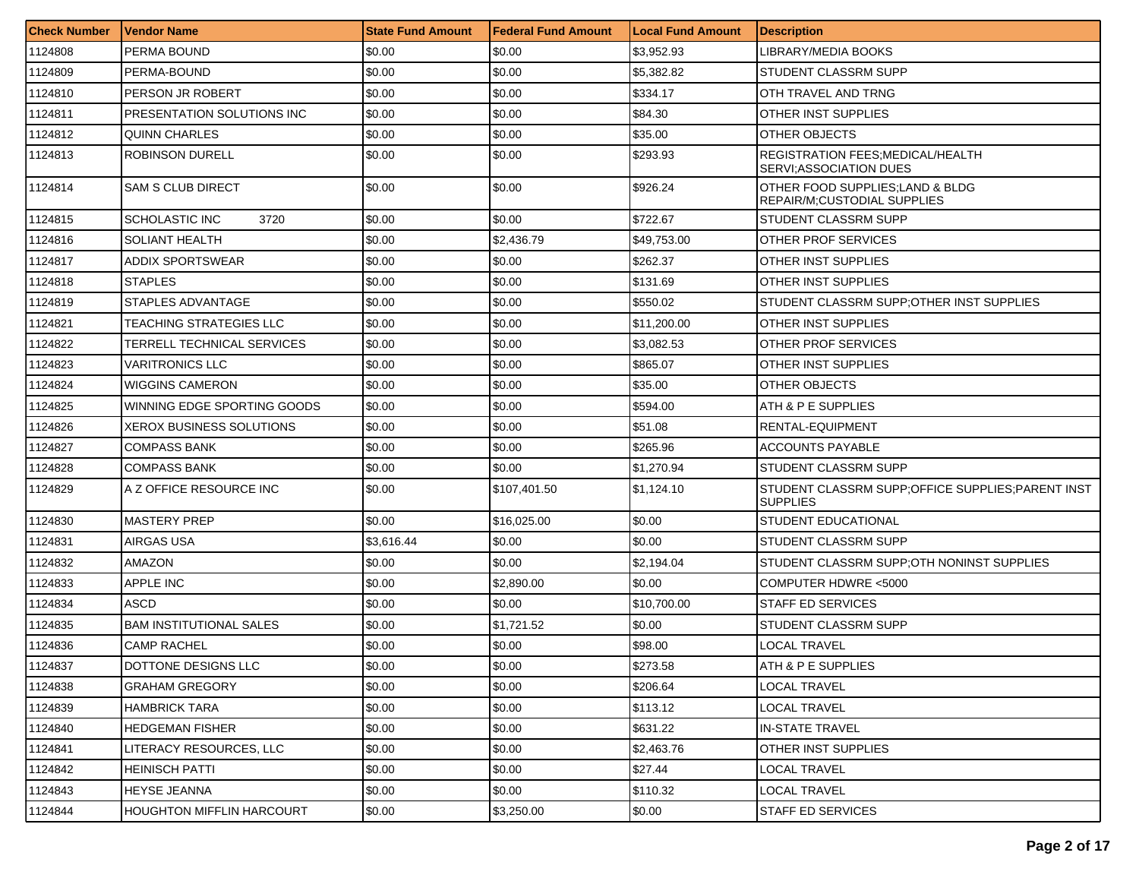| <b>Check Number</b> | <b>Vendor Name</b>             | <b>State Fund Amount</b> | Federal Fund Amount | <b>Local Fund Amount</b> | <b>Description</b>                                                    |
|---------------------|--------------------------------|--------------------------|---------------------|--------------------------|-----------------------------------------------------------------------|
| 1124808             | PERMA BOUND                    | \$0.00                   | \$0.00              | \$3,952.93               | LIBRARY/MEDIA BOOKS                                                   |
| 1124809             | PERMA-BOUND                    | \$0.00                   | \$0.00              | \$5,382.82               | <b>STUDENT CLASSRM SUPP</b>                                           |
| 1124810             | PERSON JR ROBERT               | \$0.00                   | \$0.00              | \$334.17                 | OTH TRAVEL AND TRNG                                                   |
| 1124811             | PRESENTATION SOLUTIONS INC     | \$0.00                   | \$0.00              | \$84.30                  | OTHER INST SUPPLIES                                                   |
| 1124812             | QUINN CHARLES                  | \$0.00                   | \$0.00              | \$35.00                  | OTHER OBJECTS                                                         |
| 1124813             | <b>ROBINSON DURELL</b>         | \$0.00                   | \$0.00              | \$293.93                 | REGISTRATION FEES; MEDICAL/HEALTH<br>SERVI; ASSOCIATION DUES          |
| 1124814             | <b>SAM S CLUB DIRECT</b>       | \$0.00                   | \$0.00              | \$926.24                 | OTHER FOOD SUPPLIES: LAND & BLDG<br>REPAIR/M:CUSTODIAL SUPPLIES       |
| 1124815             | 3720<br>SCHOLASTIC INC         | \$0.00                   | \$0.00              | \$722.67                 | <b>STUDENT CLASSRM SUPP</b>                                           |
| 1124816             | <b>SOLIANT HEALTH</b>          | \$0.00                   | \$2,436.79          | \$49,753.00              | OTHER PROF SERVICES                                                   |
| 1124817             | <b>ADDIX SPORTSWEAR</b>        | \$0.00                   | \$0.00              | \$262.37                 | OTHER INST SUPPLIES                                                   |
| 1124818             | <b>STAPLES</b>                 | \$0.00                   | \$0.00              | \$131.69                 | OTHER INST SUPPLIES                                                   |
| 1124819             | STAPLES ADVANTAGE              | \$0.00                   | \$0.00              | \$550.02                 | STUDENT CLASSRM SUPP: OTHER INST SUPPLIES                             |
| 1124821             | TEACHING STRATEGIES LLC        | \$0.00                   | \$0.00              | \$11,200.00              | OTHER INST SUPPLIES                                                   |
| 1124822             | TERRELL TECHNICAL SERVICES     | \$0.00                   | \$0.00              | \$3,082.53               | OTHER PROF SERVICES                                                   |
| 1124823             | <b>VARITRONICS LLC</b>         | \$0.00                   | \$0.00              | \$865.07                 | OTHER INST SUPPLIES                                                   |
| 1124824             | <b>WIGGINS CAMERON</b>         | \$0.00                   | \$0.00              | \$35.00                  | OTHER OBJECTS                                                         |
| 1124825             | WINNING EDGE SPORTING GOODS    | \$0.00                   | \$0.00              | \$594.00                 | ATH & P E SUPPLIES                                                    |
| 1124826             | XEROX BUSINESS SOLUTIONS       | \$0.00                   | \$0.00              | \$51.08                  | RENTAL-EQUIPMENT                                                      |
| 1124827             | <b>COMPASS BANK</b>            | \$0.00                   | \$0.00              | \$265.96                 | <b>ACCOUNTS PAYABLE</b>                                               |
| 1124828             | <b>COMPASS BANK</b>            | \$0.00                   | \$0.00              | \$1,270.94               | STUDENT CLASSRM SUPP                                                  |
| 1124829             | A Z OFFICE RESOURCE INC        | \$0.00                   | \$107,401.50        | \$1,124.10               | STUDENT CLASSRM SUPP; OFFICE SUPPLIES; PARENT INST<br><b>SUPPLIES</b> |
| 1124830             | <b>MASTERY PREP</b>            | \$0.00                   | \$16,025.00         | \$0.00                   | <b>STUDENT EDUCATIONAL</b>                                            |
| 1124831             | AIRGAS USA                     | \$3,616.44               | \$0.00              | \$0.00                   | STUDENT CLASSRM SUPP                                                  |
| 1124832             | AMAZON                         | \$0.00                   | \$0.00              | \$2,194.04               | STUDENT CLASSRM SUPP; OTH NONINST SUPPLIES                            |
| 1124833             | APPLE INC                      | \$0.00                   | \$2,890.00          | \$0.00                   | COMPUTER HDWRE <5000                                                  |
| 1124834             | <b>ASCD</b>                    | \$0.00                   | \$0.00              | \$10,700.00              | <b>STAFF ED SERVICES</b>                                              |
| 1124835             | <b>BAM INSTITUTIONAL SALES</b> | \$0.00                   | \$1,721.52          | \$0.00                   | STUDENT CLASSRM SUPP                                                  |
| 1124836             | <b>CAMP RACHEL</b>             | \$0.00                   | \$0.00              | \$98.00                  | <b>LOCAL TRAVEL</b>                                                   |
| 1124837             | DOTTONE DESIGNS LLC            | \$0.00                   | \$0.00              | \$273.58                 | ATH & P E SUPPLIES                                                    |
| 1124838             | <b>GRAHAM GREGORY</b>          | \$0.00                   | \$0.00              | \$206.64                 | LOCAL TRAVEL                                                          |
| 1124839             | <b>HAMBRICK TARA</b>           | \$0.00                   | \$0.00              | \$113.12                 | <b>LOCAL TRAVEL</b>                                                   |
| 1124840             | <b>HEDGEMAN FISHER</b>         | \$0.00                   | \$0.00              | \$631.22                 | <b>IN-STATE TRAVEL</b>                                                |
| 1124841             | LITERACY RESOURCES, LLC        | \$0.00                   | \$0.00              | \$2,463.76               | OTHER INST SUPPLIES                                                   |
| 1124842             | <b>HEINISCH PATTI</b>          | \$0.00                   | \$0.00              | \$27.44                  | <b>LOCAL TRAVEL</b>                                                   |
| 1124843             | HEYSE JEANNA                   | \$0.00                   | \$0.00              | \$110.32                 | LOCAL TRAVEL                                                          |
| 1124844             | HOUGHTON MIFFLIN HARCOURT      | \$0.00                   | \$3,250.00          | \$0.00                   | <b>STAFF ED SERVICES</b>                                              |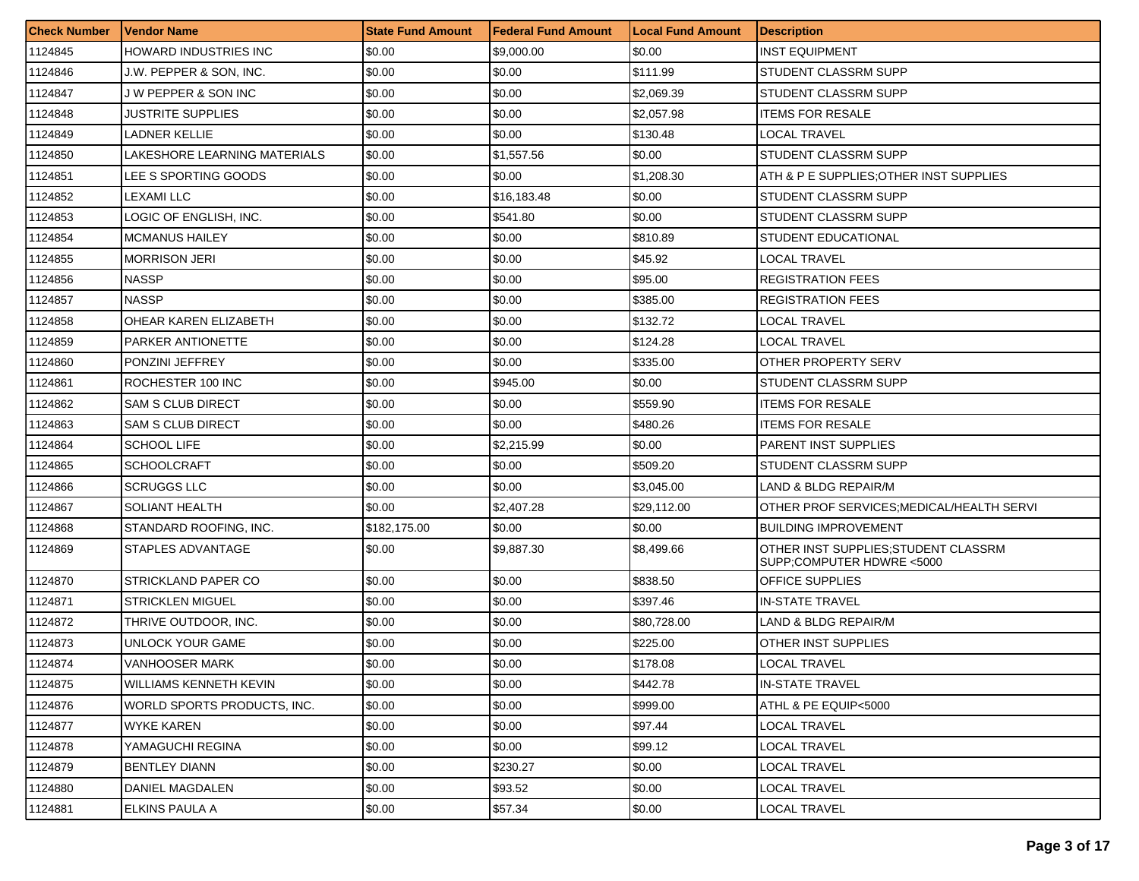| <b>Check Number</b> | l Vendor Name                 | <b>State Fund Amount</b> | l Federal Fund Amount | <b>Local Fund Amount</b> | <b>Description</b>                                                |
|---------------------|-------------------------------|--------------------------|-----------------------|--------------------------|-------------------------------------------------------------------|
| 1124845             | HOWARD INDUSTRIES INC         | \$0.00                   | \$9,000.00            | \$0.00                   | <b>INST EQUIPMENT</b>                                             |
| 1124846             | J.W. PEPPER & SON, INC.       | \$0.00                   | \$0.00                | \$111.99                 | <b>STUDENT CLASSRM SUPP</b>                                       |
| 1124847             | J W PEPPER & SON INC          | \$0.00                   | \$0.00                | \$2,069.39               | STUDENT CLASSRM SUPP                                              |
| 1124848             | JUSTRITE SUPPLIES             | \$0.00                   | \$0.00                | \$2.057.98               | <b>ITEMS FOR RESALE</b>                                           |
| 1124849             | LADNER KELLIE                 | \$0.00                   | \$0.00                | \$130.48                 | LOCAL TRAVEL                                                      |
| 1124850             | LAKESHORE LEARNING MATERIALS  | \$0.00                   | \$1,557.56            | \$0.00                   | <b>STUDENT CLASSRM SUPP</b>                                       |
| 1124851             | LEE S SPORTING GOODS          | \$0.00                   | \$0.00                | \$1,208.30               | ATH & P E SUPPLIES: OTHER INST SUPPLIES                           |
| 1124852             | LEXAMI LLC                    | \$0.00                   | \$16,183,48           | \$0.00                   | STUDENT CLASSRM SUPP                                              |
| 1124853             | LOGIC OF ENGLISH. INC.        | \$0.00                   | \$541.80              | \$0.00                   | STUDENT CLASSRM SUPP                                              |
| 1124854             | <b>MCMANUS HAILEY</b>         | \$0.00                   | \$0.00                | \$810.89                 | <b>STUDENT EDUCATIONAL</b>                                        |
| 1124855             | <b>MORRISON JERI</b>          | \$0.00                   | \$0.00                | \$45.92                  | LOCAL TRAVEL                                                      |
| 1124856             | <b>NASSP</b>                  | \$0.00                   | \$0.00                | \$95.00                  | REGISTRATION FEES                                                 |
| 1124857             | <b>NASSP</b>                  | \$0.00                   | \$0.00                | \$385.00                 | <b>REGISTRATION FEES</b>                                          |
| 1124858             | OHEAR KAREN ELIZABETH         | \$0.00                   | \$0.00                | \$132.72                 | LOCAL TRAVEL                                                      |
| 1124859             | <b>PARKER ANTIONETTE</b>      | \$0.00                   | \$0.00                | \$124.28                 | LOCAL TRAVEL                                                      |
| 1124860             | PONZINI JEFFREY               | \$0.00                   | \$0.00                | \$335.00                 | <b>OTHER PROPERTY SERV</b>                                        |
| 1124861             | ROCHESTER 100 INC             | \$0.00                   | \$945.00              | \$0.00                   | STUDENT CLASSRM SUPP                                              |
| 1124862             | <b>SAM S CLUB DIRECT</b>      | \$0.00                   | \$0.00                | \$559.90                 | ITEMS FOR RESALE                                                  |
| 1124863             | <b>SAM S CLUB DIRECT</b>      | \$0.00                   | \$0.00                | \$480.26                 | ITEMS FOR RESALE                                                  |
| 1124864             | SCHOOL LIFE                   | \$0.00                   | \$2,215.99            | \$0.00                   | <b>PARENT INST SUPPLIES</b>                                       |
| 1124865             | <b>SCHOOLCRAFT</b>            | \$0.00                   | \$0.00                | \$509.20                 | STUDENT CLASSRM SUPP                                              |
| 1124866             | <b>SCRUGGS LLC</b>            | \$0.00                   | \$0.00                | \$3,045.00               | LAND & BLDG REPAIR/M                                              |
| 1124867             | <b>SOLIANT HEALTH</b>         | \$0.00                   | \$2,407.28            | \$29,112.00              | OTHER PROF SERVICES; MEDICAL/HEALTH SERVI                         |
| 1124868             | STANDARD ROOFING, INC.        | \$182,175.00             | \$0.00                | \$0.00                   | <b>BUILDING IMPROVEMENT</b>                                       |
| 1124869             | STAPLES ADVANTAGE             | \$0.00                   | \$9,887.30            | \$8,499.66               | OTHER INST SUPPLIES; STUDENT CLASSRM<br>SUPP;COMPUTER HDWRE <5000 |
| 1124870             | STRICKLAND PAPER CO           | \$0.00                   | \$0.00                | \$838.50                 | <b>OFFICE SUPPLIES</b>                                            |
| 1124871             | <b>STRICKLEN MIGUEL</b>       | \$0.00                   | \$0.00                | \$397.46                 | IN-STATE TRAVEL                                                   |
| 1124872             | THRIVE OUTDOOR. INC.          | \$0.00                   | \$0.00                | \$80,728.00              | LAND & BLDG REPAIR/M                                              |
| 1124873             | UNLOCK YOUR GAME              | \$0.00                   | \$0.00                | \$225.00                 | OTHER INST SUPPLIES                                               |
| 1124874             | VANHOOSER MARK                | \$0.00                   | \$0.00                | \$178.08                 | LOCAL TRAVEL                                                      |
| 1124875             | <b>WILLIAMS KENNETH KEVIN</b> | \$0.00                   | \$0.00                | \$442.78                 | IN-STATE TRAVEL                                                   |
| 1124876             | WORLD SPORTS PRODUCTS, INC.   | \$0.00                   | \$0.00                | \$999.00                 | ATHL & PE EQUIP<5000                                              |
| 1124877             | <b>WYKE KAREN</b>             | \$0.00                   | \$0.00                | \$97.44                  | LOCAL TRAVEL                                                      |
| 1124878             | YAMAGUCHI REGINA              | \$0.00                   | \$0.00                | \$99.12                  | LOCAL TRAVEL                                                      |
| 1124879             | <b>BENTLEY DIANN</b>          | \$0.00                   | \$230.27              | \$0.00                   | <b>LOCAL TRAVEL</b>                                               |
| 1124880             | <b>DANIEL MAGDALEN</b>        | \$0.00                   | \$93.52               | \$0.00                   | LOCAL TRAVEL                                                      |
| 1124881             | ELKINS PAULA A                | \$0.00                   | \$57.34               | \$0.00                   | LOCAL TRAVEL                                                      |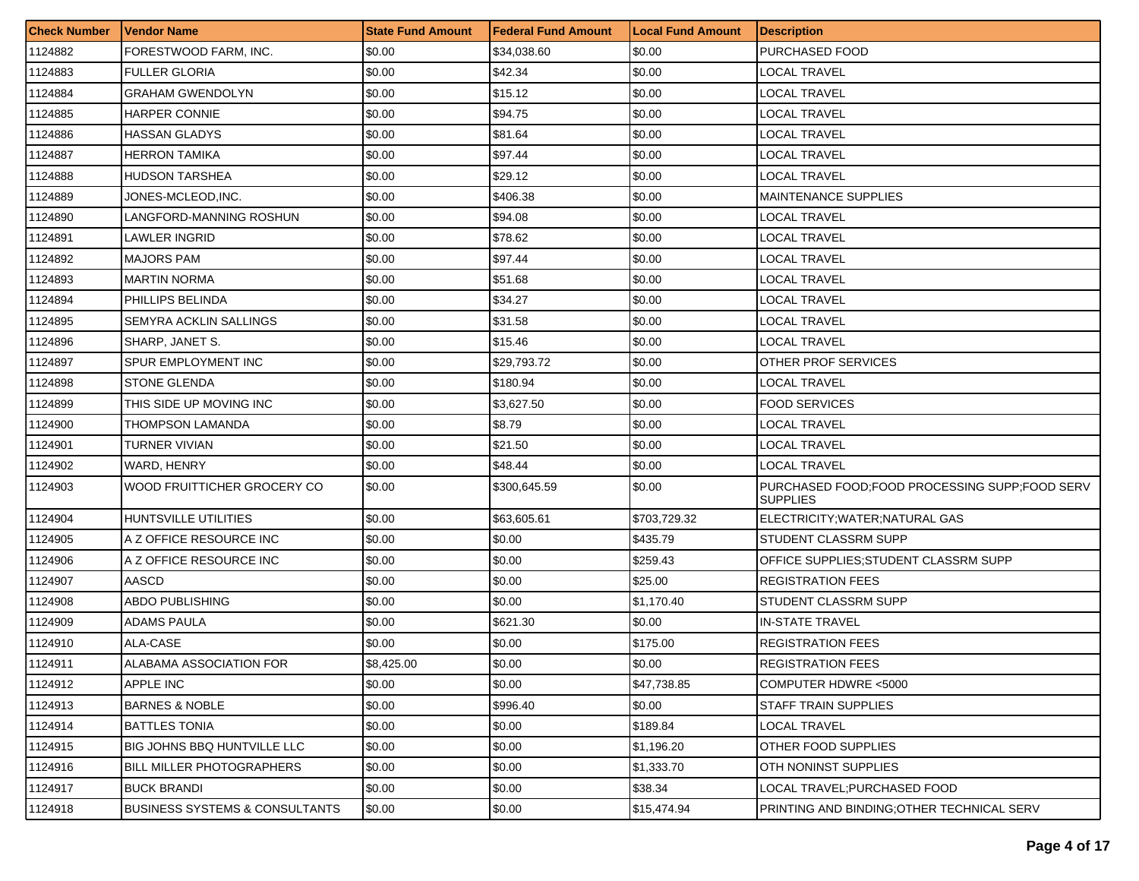| <b>Check Number</b> | Vendor Name                               | <b>State Fund Amount</b> | l Federal Fund Amount | <b>Local Fund Amount</b> | <b>Description</b>                                                 |
|---------------------|-------------------------------------------|--------------------------|-----------------------|--------------------------|--------------------------------------------------------------------|
| 1124882             | FORESTWOOD FARM, INC.                     | \$0.00                   | \$34,038.60           | \$0.00                   | PURCHASED FOOD                                                     |
| 1124883             | FULLER GLORIA                             | \$0.00                   | \$42.34               | \$0.00                   | LOCAL TRAVEL                                                       |
| 1124884             | GRAHAM GWENDOLYN                          | \$0.00                   | \$15.12               | \$0.00                   | LOCAL TRAVEL                                                       |
| 1124885             | <b>HARPER CONNIE</b>                      | \$0.00                   | \$94.75               | \$0.00                   | <b>LOCAL TRAVEL</b>                                                |
| 1124886             | HASSAN GLADYS                             | \$0.00                   | \$81.64               | \$0.00                   | LOCAL TRAVEL                                                       |
| 1124887             | HERRON TAMIKA                             | \$0.00                   | \$97.44               | \$0.00                   | LOCAL TRAVEL                                                       |
| 1124888             | HUDSON TARSHEA                            | \$0.00                   | \$29.12               | \$0.00                   | <b>LOCAL TRAVEL</b>                                                |
| 1124889             | JONES-MCLEOD,INC.                         | \$0.00                   | \$406.38              | \$0.00                   | <b>MAINTENANCE SUPPLIES</b>                                        |
| 1124890             | LANGFORD-MANNING ROSHUN                   | \$0.00                   | \$94.08               | \$0.00                   | LOCAL TRAVEL                                                       |
| 1124891             | LAWLER INGRID                             | \$0.00                   | \$78.62               | \$0.00                   | LOCAL TRAVEL                                                       |
| 1124892             | <b>MAJORS PAM</b>                         | \$0.00                   | \$97.44               | \$0.00                   | LOCAL TRAVEL                                                       |
| 1124893             | <b>MARTIN NORMA</b>                       | \$0.00                   | \$51.68               | \$0.00                   | LOCAL TRAVEL                                                       |
| 1124894             | PHILLIPS BELINDA                          | \$0.00                   | \$34.27               | \$0.00                   | LOCAL TRAVEL                                                       |
| 1124895             | SEMYRA ACKLIN SALLINGS                    | \$0.00                   | \$31.58               | \$0.00                   | <b>LOCAL TRAVEL</b>                                                |
| 1124896             | SHARP. JANET S.                           | \$0.00                   | \$15.46               | \$0.00                   | LOCAL TRAVEL                                                       |
| 1124897             | SPUR EMPLOYMENT INC                       | \$0.00                   | \$29,793.72           | \$0.00                   | <b>OTHER PROF SERVICES</b>                                         |
| 1124898             | <b>STONE GLENDA</b>                       | \$0.00                   | \$180.94              | \$0.00                   | <b>LOCAL TRAVEL</b>                                                |
| 1124899             | THIS SIDE UP MOVING INC                   | \$0.00                   | \$3,627.50            | \$0.00                   | <b>FOOD SERVICES</b>                                               |
| 1124900             | THOMPSON LAMANDA                          | \$0.00                   | \$8.79                | \$0.00                   | <b>LOCAL TRAVEL</b>                                                |
| 1124901             | TURNER VIVIAN                             | \$0.00                   | \$21.50               | \$0.00                   | LOCAL TRAVEL                                                       |
| 1124902             | WARD, HENRY                               | \$0.00                   | \$48.44               | \$0.00                   | LOCAL TRAVEL                                                       |
| 1124903             | WOOD FRUITTICHER GROCERY CO               | \$0.00                   | \$300,645.59          | \$0.00                   | PURCHASED FOOD: FOOD PROCESSING SUPP: FOOD SERV<br><b>SUPPLIES</b> |
| 1124904             | HUNTSVILLE UTILITIES                      | \$0.00                   | \$63,605.61           | \$703,729.32             | ELECTRICITY; WATER; NATURAL GAS                                    |
| 1124905             | A Z OFFICE RESOURCE INC                   | \$0.00                   | \$0.00                | \$435.79                 | STUDENT CLASSRM SUPP                                               |
| 1124906             | A Z OFFICE RESOURCE INC                   | \$0.00                   | \$0.00                | \$259.43                 | OFFICE SUPPLIES: STUDENT CLASSRM SUPP                              |
| 1124907             | AASCD                                     | \$0.00                   | \$0.00                | \$25.00                  | <b>REGISTRATION FEES</b>                                           |
| 1124908             | ABDO PUBLISHING                           | \$0.00                   | \$0.00                | \$1,170.40               | STUDENT CLASSRM SUPP                                               |
| 1124909             | ADAMS PAULA                               | \$0.00                   | \$621.30              | \$0.00                   | <b>IN-STATE TRAVEL</b>                                             |
| 1124910             | ALA-CASE                                  | \$0.00                   | \$0.00                | \$175.00                 | <b>REGISTRATION FEES</b>                                           |
| 1124911             | ALABAMA ASSOCIATION FOR                   | \$8,425.00               | \$0.00                | \$0.00                   | <b>REGISTRATION FEES</b>                                           |
| 1124912             | APPLE INC                                 | \$0.00                   | \$0.00                | \$47,738.85              | COMPUTER HDWRE <5000                                               |
| 1124913             | <b>BARNES &amp; NOBLE</b>                 | \$0.00                   | \$996.40              | \$0.00                   | STAFF TRAIN SUPPLIES                                               |
| 1124914             | <b>BATTLES TONIA</b>                      | \$0.00                   | \$0.00                | \$189.84                 | <b>LOCAL TRAVEL</b>                                                |
| 1124915             | <b>BIG JOHNS BBQ HUNTVILLE LLC</b>        | \$0.00                   | \$0.00                | \$1,196.20               | OTHER FOOD SUPPLIES                                                |
| 1124916             | BILL MILLER PHOTOGRAPHERS                 | \$0.00                   | \$0.00                | \$1,333.70               | OTH NONINST SUPPLIES                                               |
| 1124917             | <b>BUCK BRANDI</b>                        | \$0.00                   | \$0.00                | \$38.34                  | LOCAL TRAVEL:PURCHASED FOOD                                        |
| 1124918             | <b>BUSINESS SYSTEMS &amp; CONSULTANTS</b> | \$0.00                   | \$0.00                | \$15,474.94              | PRINTING AND BINDING; OTHER TECHNICAL SERV                         |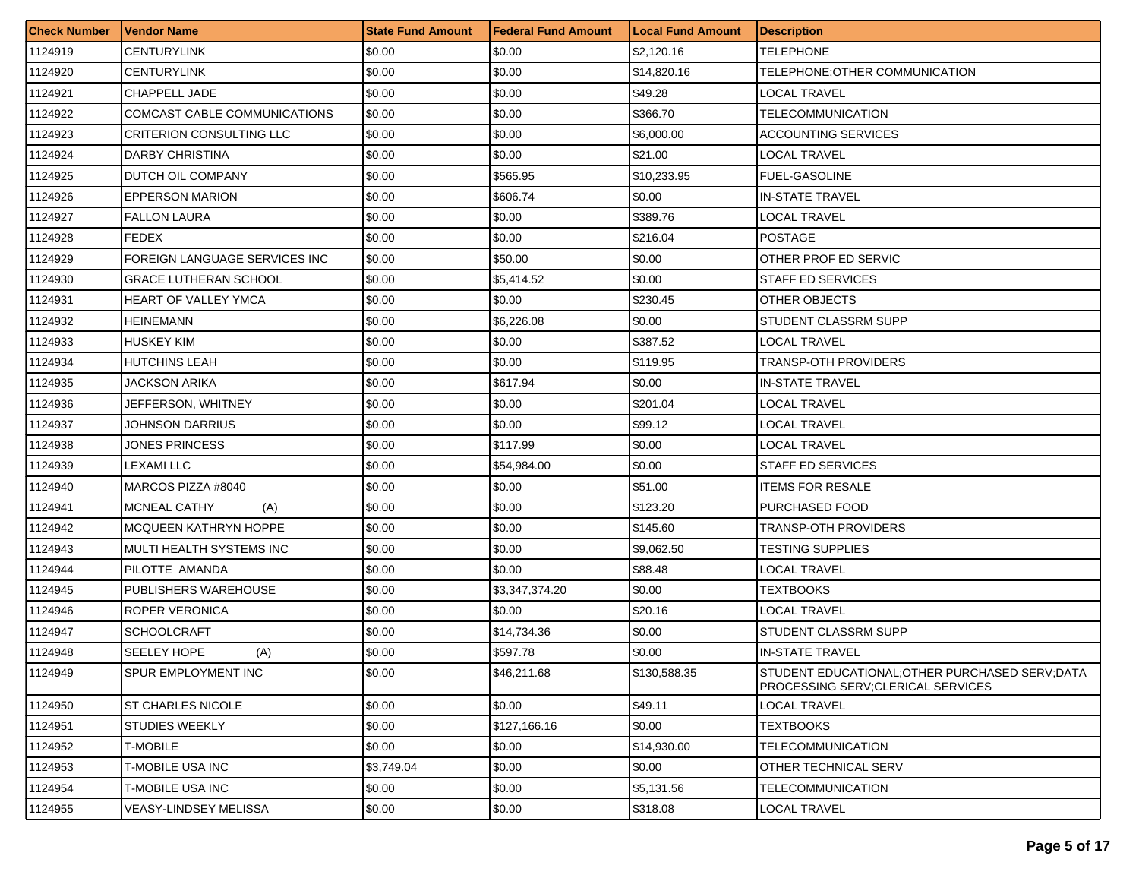| <b>Check Number</b> | Vendor Name                   | <b>State Fund Amount</b> | l Federal Fund Amount | <b>Local Fund Amount</b> | <b>Description</b>                                                                    |
|---------------------|-------------------------------|--------------------------|-----------------------|--------------------------|---------------------------------------------------------------------------------------|
| 1124919             | CENTURYLINK                   | \$0.00                   | \$0.00                | \$2,120.16               | TELEPHONE                                                                             |
| 1124920             | CENTURYLINK                   | \$0.00                   | \$0.00                | \$14,820.16              | TELEPHONE:OTHER COMMUNICATION                                                         |
| 1124921             | CHAPPELL JADE                 | \$0.00                   | \$0.00                | \$49.28                  | <b>LOCAL TRAVEL</b>                                                                   |
| 1124922             | COMCAST CABLE COMMUNICATIONS  | \$0.00                   | \$0.00                | \$366.70                 | <b>TELECOMMUNICATION</b>                                                              |
| 1124923             | CRITERION CONSULTING LLC      | \$0.00                   | \$0.00                | \$6,000.00               | <b>ACCOUNTING SERVICES</b>                                                            |
| 1124924             | DARBY CHRISTINA               | \$0.00                   | \$0.00                | \$21.00                  | LOCAL TRAVEL                                                                          |
| 1124925             | DUTCH OIL COMPANY             | \$0.00                   | \$565.95              | \$10,233.95              | <b>FUEL-GASOLINE</b>                                                                  |
| 1124926             | <b>EPPERSON MARION</b>        | \$0.00                   | \$606.74              | \$0.00                   | <b>IN-STATE TRAVEL</b>                                                                |
| 1124927             | <b>FALLON LAURA</b>           | \$0.00                   | \$0.00                | \$389.76                 | LOCAL TRAVEL                                                                          |
| 1124928             | FEDEX                         | \$0.00                   | \$0.00                | \$216.04                 | <b>POSTAGE</b>                                                                        |
| 1124929             | FOREIGN LANGUAGE SERVICES INC | \$0.00                   | \$50.00               | \$0.00                   | <b>OTHER PROF ED SERVIC</b>                                                           |
| 1124930             | GRACE LUTHERAN SCHOOL         | \$0.00                   | \$5,414.52            | \$0.00                   | <b>STAFF ED SERVICES</b>                                                              |
| 1124931             | HEART OF VALLEY YMCA          | \$0.00                   | \$0.00                | \$230.45                 | OTHER OBJECTS                                                                         |
| 1124932             | HEINEMANN                     | \$0.00                   | \$6,226.08            | \$0.00                   | STUDENT CLASSRM SUPP                                                                  |
| 1124933             | HUSKEY KIM                    | \$0.00                   | \$0.00                | \$387.52                 | LOCAL TRAVEL                                                                          |
| 1124934             | HUTCHINS LEAH                 | \$0.00                   | \$0.00                | \$119.95                 | <b>TRANSP-OTH PROVIDERS</b>                                                           |
| 1124935             | JACKSON ARIKA                 | \$0.00                   | \$617.94              | \$0.00                   | <b>IN-STATE TRAVEL</b>                                                                |
| 1124936             | JEFFERSON, WHITNEY            | \$0.00                   | \$0.00                | \$201.04                 | LOCAL TRAVEL                                                                          |
| 1124937             | JOHNSON DARRIUS               | \$0.00                   | \$0.00                | \$99.12                  | <b>LOCAL TRAVEL</b>                                                                   |
| 1124938             | JONES PRINCESS                | \$0.00                   | \$117.99              | \$0.00                   | LOCAL TRAVEL                                                                          |
| 1124939             | LEXAMI LLC                    | \$0.00                   | \$54,984.00           | \$0.00                   | <b>STAFF ED SERVICES</b>                                                              |
| 1124940             | MARCOS PIZZA #8040            | \$0.00                   | \$0.00                | \$51.00                  | <b>ITEMS FOR RESALE</b>                                                               |
| 1124941             | <b>MCNEAL CATHY</b><br>(A)    | \$0.00                   | \$0.00                | \$123.20                 | PURCHASED FOOD                                                                        |
| 1124942             | MCQUEEN KATHRYN HOPPE         | \$0.00                   | \$0.00                | \$145.60                 | <b>TRANSP-OTH PROVIDERS</b>                                                           |
| 1124943             | MULTI HEALTH SYSTEMS INC      | \$0.00                   | \$0.00                | \$9,062.50               | TESTING SUPPLIES                                                                      |
| 1124944             | PILOTTE AMANDA                | \$0.00                   | \$0.00                | \$88.48                  | LOCAL TRAVEL                                                                          |
| 1124945             | PUBLISHERS WAREHOUSE          | \$0.00                   | \$3,347,374.20        | \$0.00                   | <b>TEXTBOOKS</b>                                                                      |
| 1124946             | ROPER VERONICA                | \$0.00                   | \$0.00                | \$20.16                  | LOCAL TRAVEL                                                                          |
| 1124947             | <b>SCHOOLCRAFT</b>            | \$0.00                   | \$14,734.36           | \$0.00                   | STUDENT CLASSRM SUPP                                                                  |
| 1124948             | SEELEY HOPE<br>(A)            | \$0.00                   | \$597.78              | \$0.00                   | <b>IN-STATE TRAVEL</b>                                                                |
| 1124949             | <b>SPUR EMPLOYMENT INC</b>    | \$0.00                   | \$46,211.68           | \$130,588.35             | STUDENT EDUCATIONAL; OTHER PURCHASED SERV; DATA<br>PROCESSING SERV: CLERICAL SERVICES |
| 1124950             | <b>ST CHARLES NICOLE</b>      | \$0.00                   | \$0.00                | \$49.11                  | <b>LOCAL TRAVEL</b>                                                                   |
| 1124951             | <b>STUDIES WEEKLY</b>         | \$0.00                   | \$127,166.16          | \$0.00                   | <b>TEXTBOOKS</b>                                                                      |
| 1124952             | T-MOBILE                      | \$0.00                   | \$0.00                | \$14,930.00              | TELECOMMUNICATION                                                                     |
| 1124953             | T-MOBILE USA INC              | \$3,749.04               | \$0.00                | \$0.00                   | <b>OTHER TECHNICAL SERV</b>                                                           |
| 1124954             | T-MOBILE USA INC              | \$0.00                   | \$0.00                | \$5,131.56               | <b>TELECOMMUNICATION</b>                                                              |
| 1124955             | <b>VEASY-LINDSEY MELISSA</b>  | \$0.00                   | \$0.00                | \$318.08                 | <b>LOCAL TRAVEL</b>                                                                   |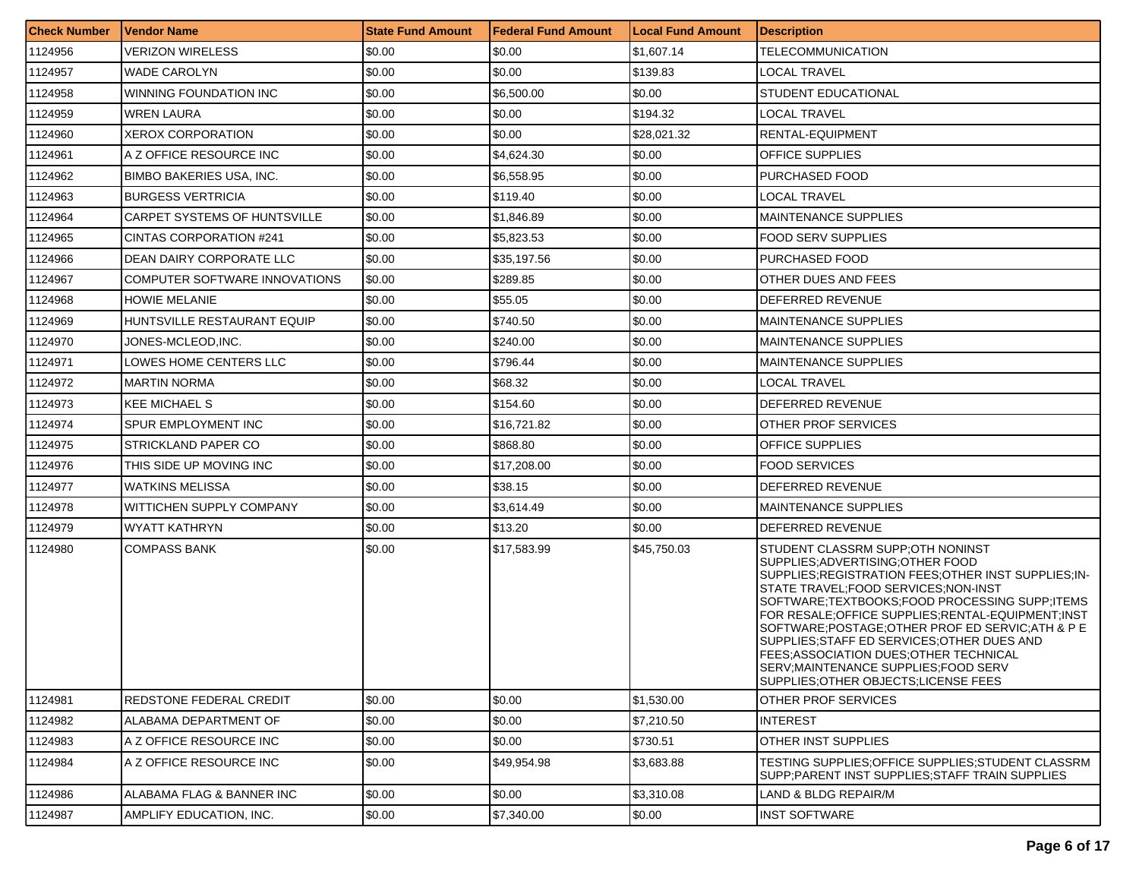| <b>Check Number</b> | Vendor Name                     | <b>State Fund Amount</b> | <b>Federal Fund Amount</b> | <b>Local Fund Amount</b> | <b>Description</b>                                                                                                                                                                                                                                                                                                                                                                                                                                                                                         |
|---------------------|---------------------------------|--------------------------|----------------------------|--------------------------|------------------------------------------------------------------------------------------------------------------------------------------------------------------------------------------------------------------------------------------------------------------------------------------------------------------------------------------------------------------------------------------------------------------------------------------------------------------------------------------------------------|
| 1124956             | VERIZON WIRELESS                | \$0.00                   | \$0.00                     | \$1,607.14               | TELECOMMUNICATION                                                                                                                                                                                                                                                                                                                                                                                                                                                                                          |
| 1124957             | <b>WADE CAROLYN</b>             | \$0.00                   | \$0.00                     | \$139.83                 | LOCAL TRAVEL                                                                                                                                                                                                                                                                                                                                                                                                                                                                                               |
| 1124958             | WINNING FOUNDATION INC          | \$0.00                   | \$6,500.00                 | \$0.00                   | <b>STUDENT EDUCATIONAL</b>                                                                                                                                                                                                                                                                                                                                                                                                                                                                                 |
| 1124959             | <b>WREN LAURA</b>               | \$0.00                   | \$0.00                     | \$194.32                 | <b>LOCAL TRAVEL</b>                                                                                                                                                                                                                                                                                                                                                                                                                                                                                        |
| 1124960             | XEROX CORPORATION               | \$0.00                   | \$0.00                     | \$28,021.32              | RENTAL-EQUIPMENT                                                                                                                                                                                                                                                                                                                                                                                                                                                                                           |
| 1124961             | A Z OFFICE RESOURCE INC         | \$0.00                   | \$4,624.30                 | \$0.00                   | OFFICE SUPPLIES                                                                                                                                                                                                                                                                                                                                                                                                                                                                                            |
| 1124962             | <b>BIMBO BAKERIES USA. INC.</b> | \$0.00                   | \$6,558.95                 | \$0.00                   | PURCHASED FOOD                                                                                                                                                                                                                                                                                                                                                                                                                                                                                             |
| 1124963             | <b>BURGESS VERTRICIA</b>        | \$0.00                   | \$119.40                   | \$0.00                   | LOCAL TRAVEL                                                                                                                                                                                                                                                                                                                                                                                                                                                                                               |
| 1124964             | CARPET SYSTEMS OF HUNTSVILLE    | \$0.00                   | \$1,846.89                 | \$0.00                   | <b>MAINTENANCE SUPPLIES</b>                                                                                                                                                                                                                                                                                                                                                                                                                                                                                |
| 1124965             | CINTAS CORPORATION #241         | \$0.00                   | \$5,823.53                 | \$0.00                   | <b>FOOD SERV SUPPLIES</b>                                                                                                                                                                                                                                                                                                                                                                                                                                                                                  |
| 1124966             | DEAN DAIRY CORPORATE LLC        | \$0.00                   | \$35,197.56                | \$0.00                   | <b>PURCHASED FOOD</b>                                                                                                                                                                                                                                                                                                                                                                                                                                                                                      |
| 1124967             | COMPUTER SOFTWARE INNOVATIONS   | \$0.00                   | \$289.85                   | \$0.00                   | OTHER DUES AND FEES                                                                                                                                                                                                                                                                                                                                                                                                                                                                                        |
| 1124968             | <b>HOWIE MELANIE</b>            | \$0.00                   | \$55.05                    | \$0.00                   | DEFERRED REVENUE                                                                                                                                                                                                                                                                                                                                                                                                                                                                                           |
| 1124969             | HUNTSVILLE RESTAURANT EQUIP     | \$0.00                   | \$740.50                   | \$0.00                   | <b>MAINTENANCE SUPPLIES</b>                                                                                                                                                                                                                                                                                                                                                                                                                                                                                |
| 1124970             | JONES-MCLEOD,INC.               | \$0.00                   | \$240.00                   | \$0.00                   | <b>MAINTENANCE SUPPLIES</b>                                                                                                                                                                                                                                                                                                                                                                                                                                                                                |
| 1124971             | LOWES HOME CENTERS LLC          | \$0.00                   | \$796.44                   | \$0.00                   | <b>MAINTENANCE SUPPLIES</b>                                                                                                                                                                                                                                                                                                                                                                                                                                                                                |
| 1124972             | <b>MARTIN NORMA</b>             | \$0.00                   | \$68.32                    | \$0.00                   | LOCAL TRAVEL                                                                                                                                                                                                                                                                                                                                                                                                                                                                                               |
| 1124973             | <b>KEE MICHAEL S</b>            | \$0.00                   | \$154.60                   | \$0.00                   | DEFERRED REVENUE                                                                                                                                                                                                                                                                                                                                                                                                                                                                                           |
| 1124974             | SPUR EMPLOYMENT INC             | \$0.00                   | \$16,721.82                | \$0.00                   | OTHER PROF SERVICES                                                                                                                                                                                                                                                                                                                                                                                                                                                                                        |
| 1124975             | STRICKLAND PAPER CO             | \$0.00                   | \$868.80                   | \$0.00                   | OFFICE SUPPLIES                                                                                                                                                                                                                                                                                                                                                                                                                                                                                            |
| 1124976             | THIS SIDE UP MOVING INC         | \$0.00                   | \$17,208.00                | \$0.00                   | <b>FOOD SERVICES</b>                                                                                                                                                                                                                                                                                                                                                                                                                                                                                       |
| 1124977             | <b>WATKINS MELISSA</b>          | \$0.00                   | \$38.15                    | \$0.00                   | DEFERRED REVENUE                                                                                                                                                                                                                                                                                                                                                                                                                                                                                           |
| 1124978             | WITTICHEN SUPPLY COMPANY        | \$0.00                   | \$3,614.49                 | \$0.00                   | <b>MAINTENANCE SUPPLIES</b>                                                                                                                                                                                                                                                                                                                                                                                                                                                                                |
| 1124979             | WYATT KATHRYN                   | \$0.00                   | \$13.20                    | \$0.00                   | DEFERRED REVENUE                                                                                                                                                                                                                                                                                                                                                                                                                                                                                           |
| 1124980             | <b>COMPASS BANK</b>             | \$0.00                   | \$17,583.99                | \$45,750.03              | STUDENT CLASSRM SUPP;OTH NONINST<br>SUPPLIES; ADVERTISING; OTHER FOOD<br>SUPPLIES: REGISTRATION FEES: OTHER INST SUPPLIES: IN-<br>STATE TRAVEL: FOOD SERVICES: NON-INST<br>SOFTWARE;TEXTBOOKS;FOOD PROCESSING SUPP;ITEMS<br>FOR RESALE; OFFICE SUPPLIES; RENTAL-EQUIPMENT; INST<br>SOFTWARE;POSTAGE;OTHER PROF ED SERVIC;ATH & P E<br>SUPPLIES: STAFF ED SERVICES: OTHER DUES AND<br>FEES;ASSOCIATION DUES;OTHER TECHNICAL<br>SERV;MAINTENANCE SUPPLIES;FOOD SERV<br>SUPPLIES; OTHER OBJECTS; LICENSE FEES |
| 1124981             | REDSTONE FEDERAL CREDIT         | \$0.00                   | \$0.00                     | \$1,530.00               | OTHER PROF SERVICES                                                                                                                                                                                                                                                                                                                                                                                                                                                                                        |
| 1124982             | ALABAMA DEPARTMENT OF           | \$0.00                   | \$0.00                     | \$7,210.50               | <b>INTEREST</b>                                                                                                                                                                                                                                                                                                                                                                                                                                                                                            |
| 1124983             | A Z OFFICE RESOURCE INC         | \$0.00                   | \$0.00                     | \$730.51                 | <b>OTHER INST SUPPLIES</b>                                                                                                                                                                                                                                                                                                                                                                                                                                                                                 |
| 1124984             | A Z OFFICE RESOURCE INC         | \$0.00                   | \$49,954.98                | \$3,683.88               | TESTING SUPPLIES; OFFICE SUPPLIES; STUDENT CLASSRM<br>SUPP; PARENT INST SUPPLIES; STAFF TRAIN SUPPLIES                                                                                                                                                                                                                                                                                                                                                                                                     |
| 1124986             | ALABAMA FLAG & BANNER INC       | \$0.00                   | \$0.00                     | \$3,310.08               | LAND & BLDG REPAIR/M                                                                                                                                                                                                                                                                                                                                                                                                                                                                                       |
| 1124987             | AMPLIFY EDUCATION, INC.         | \$0.00                   | \$7,340.00                 | \$0.00                   | <b>INST SOFTWARE</b>                                                                                                                                                                                                                                                                                                                                                                                                                                                                                       |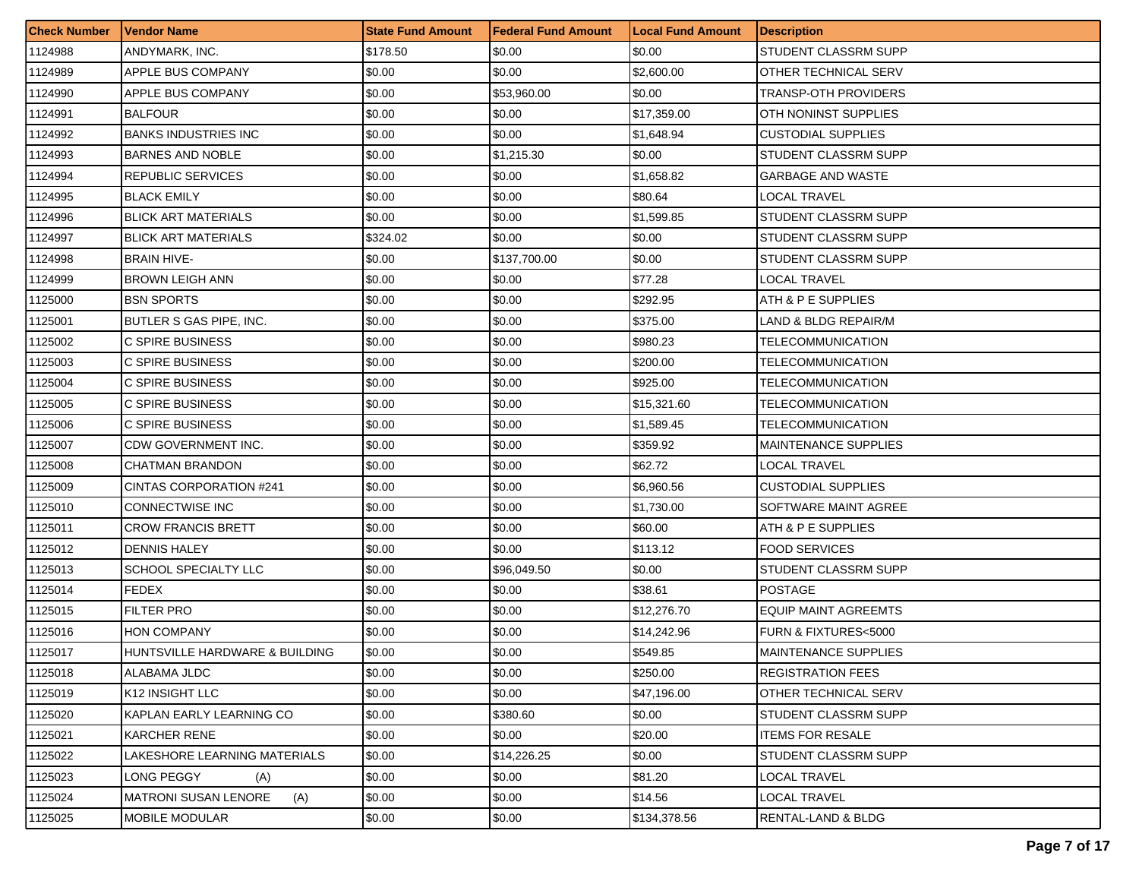| <b>Check Number</b> | Vendor Name                    | <b>State Fund Amount</b> | l Federal Fund Amount | <b>Local Fund Amount</b> | <b>Description</b>          |
|---------------------|--------------------------------|--------------------------|-----------------------|--------------------------|-----------------------------|
| 1124988             | ANDYMARK, INC.                 | \$178.50                 | \$0.00                | \$0.00                   | STUDENT CLASSRM SUPP        |
| 1124989             | APPLE BUS COMPANY              | \$0.00                   | \$0.00                | \$2,600.00               | OTHER TECHNICAL SERV        |
| 1124990             | APPLE BUS COMPANY              | \$0.00                   | \$53,960.00           | \$0.00                   | <b>TRANSP-OTH PROVIDERS</b> |
| 1124991             | <b>BALFOUR</b>                 | \$0.00                   | \$0.00                | \$17,359.00              | OTH NONINST SUPPLIES        |
| 1124992             | <b>BANKS INDUSTRIES INC</b>    | \$0.00                   | \$0.00                | \$1,648.94               | <b>CUSTODIAL SUPPLIES</b>   |
| 1124993             | <b>BARNES AND NOBLE</b>        | \$0.00                   | \$1,215.30            | \$0.00                   | STUDENT CLASSRM SUPP        |
| 1124994             | REPUBLIC SERVICES              | \$0.00                   | \$0.00                | \$1,658.82               | <b>GARBAGE AND WASTE</b>    |
| 1124995             | <b>BLACK EMILY</b>             | \$0.00                   | \$0.00                | \$80.64                  | LOCAL TRAVEL                |
| 1124996             | <b>BLICK ART MATERIALS</b>     | \$0.00                   | \$0.00                | \$1,599.85               | <b>STUDENT CLASSRM SUPP</b> |
| 1124997             | <b>BLICK ART MATERIALS</b>     | \$324.02                 | \$0.00                | \$0.00                   | STUDENT CLASSRM SUPP        |
| 1124998             | <b>BRAIN HIVE-</b>             | \$0.00                   | \$137,700.00          | \$0.00                   | STUDENT CLASSRM SUPP        |
| 1124999             | <b>BROWN LEIGH ANN</b>         | \$0.00                   | \$0.00                | \$77.28                  | LOCAL TRAVEL                |
| 1125000             | <b>BSN SPORTS</b>              | \$0.00                   | \$0.00                | \$292.95                 | ATH & P E SUPPLIES          |
| 1125001             | <b>BUTLER S GAS PIPE, INC.</b> | \$0.00                   | \$0.00                | \$375.00                 | LAND & BLDG REPAIR/M        |
| 1125002             | C SPIRE BUSINESS               | \$0.00                   | \$0.00                | \$980.23                 | <b>TELECOMMUNICATION</b>    |
| 1125003             | C SPIRE BUSINESS               | \$0.00                   | \$0.00                | \$200.00                 | <b>TELECOMMUNICATION</b>    |
| 1125004             | C SPIRE BUSINESS               | \$0.00                   | \$0.00                | \$925.00                 | <b>TELECOMMUNICATION</b>    |
| 1125005             | C SPIRE BUSINESS               | \$0.00                   | \$0.00                | \$15,321.60              | TELECOMMUNICATION           |
| 1125006             | C SPIRE BUSINESS               | \$0.00                   | \$0.00                | \$1,589.45               | <b>TELECOMMUNICATION</b>    |
| 1125007             | CDW GOVERNMENT INC.            | \$0.00                   | \$0.00                | \$359.92                 | <b>MAINTENANCE SUPPLIES</b> |
| 1125008             | <b>CHATMAN BRANDON</b>         | \$0.00                   | \$0.00                | \$62.72                  | <b>LOCAL TRAVEL</b>         |
| 1125009             | CINTAS CORPORATION #241        | \$0.00                   | \$0.00                | \$6,960.56               | <b>CUSTODIAL SUPPLIES</b>   |
| 1125010             | CONNECTWISE INC                | \$0.00                   | \$0.00                | \$1,730.00               | SOFTWARE MAINT AGREE        |
| 1125011             | <b>CROW FRANCIS BRETT</b>      | \$0.00                   | \$0.00                | \$60.00                  | ATH & P E SUPPLIES          |
| 1125012             | <b>DENNIS HALEY</b>            | \$0.00                   | \$0.00                | \$113.12                 | <b>FOOD SERVICES</b>        |
| 1125013             | SCHOOL SPECIALTY LLC           | \$0.00                   | \$96,049.50           | \$0.00                   | STUDENT CLASSRM SUPP        |
| 1125014             | <b>FEDEX</b>                   | \$0.00                   | \$0.00                | \$38.61                  | <b>POSTAGE</b>              |
| 1125015             | FILTER PRO                     | \$0.00                   | \$0.00                | \$12,276.70              | <b>EQUIP MAINT AGREEMTS</b> |
| 1125016             | <b>HON COMPANY</b>             | \$0.00                   | \$0.00                | \$14,242.96              | FURN & FIXTURES<5000        |
| 1125017             | HUNTSVILLE HARDWARE & BUILDING | \$0.00                   | \$0.00                | \$549.85                 | <b>MAINTENANCE SUPPLIES</b> |
| 1125018             | ALABAMA JLDC                   | \$0.00                   | \$0.00                | \$250.00                 | <b>REGISTRATION FEES</b>    |
| 1125019             | K12 INSIGHT LLC                | \$0.00                   | \$0.00                | \$47,196.00              | OTHER TECHNICAL SERV        |
| 1125020             | KAPLAN EARLY LEARNING CO       | \$0.00                   | \$380.60              | \$0.00                   | <b>STUDENT CLASSRM SUPP</b> |
| 1125021             | <b>KARCHER RENE</b>            | \$0.00                   | \$0.00                | \$20.00                  | <b>ITEMS FOR RESALE</b>     |
| 1125022             | LAKESHORE LEARNING MATERIALS   | \$0.00                   | \$14,226.25           | \$0.00                   | STUDENT CLASSRM SUPP        |
| 1125023             | LONG PEGGY<br>(A)              | \$0.00                   | \$0.00                | \$81.20                  | LOCAL TRAVEL                |
| 1125024             | MATRONI SUSAN LENORE<br>(A)    | \$0.00                   | \$0.00                | \$14.56                  | LOCAL TRAVEL                |
| 1125025             | MOBILE MODULAR                 | \$0.00                   | \$0.00                | \$134,378.56             | RENTAL-LAND & BLDG          |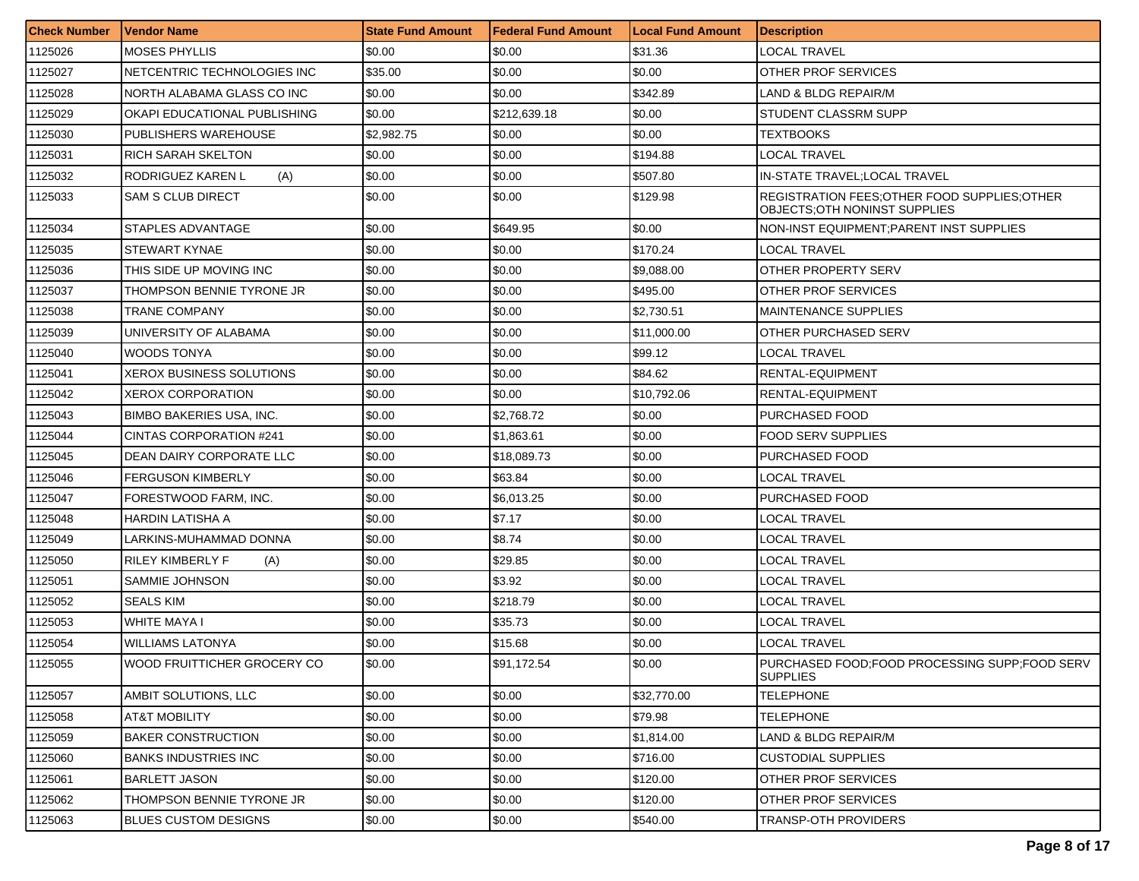| <b>Check Number</b> | l Vendor Name                   | <b>State Fund Amount</b> | Federal Fund Amount | <b>Local Fund Amount</b> | <b>Description</b>                                                             |
|---------------------|---------------------------------|--------------------------|---------------------|--------------------------|--------------------------------------------------------------------------------|
| 1125026             | <b>MOSES PHYLLIS</b>            | \$0.00                   | \$0.00              | \$31.36                  | LOCAL TRAVEL                                                                   |
| 1125027             | NETCENTRIC TECHNOLOGIES INC     | \$35.00                  | \$0.00              | \$0.00                   | OTHER PROF SERVICES                                                            |
| 1125028             | NORTH ALABAMA GLASS CO INC      | \$0.00                   | \$0.00              | \$342.89                 | LAND & BLDG REPAIR/M                                                           |
| 1125029             | OKAPI EDUCATIONAL PUBLISHING    | \$0.00                   | \$212,639.18        | \$0.00                   | STUDENT CLASSRM SUPP                                                           |
| 1125030             | <b>PUBLISHERS WAREHOUSE</b>     | \$2,982.75               | \$0.00              | \$0.00                   | TEXTBOOKS                                                                      |
| 1125031             | <b>RICH SARAH SKELTON</b>       | \$0.00                   | \$0.00              | \$194.88                 | LOCAL TRAVEL                                                                   |
| 1125032             | RODRIGUEZ KAREN L<br>(A)        | \$0.00                   | \$0.00              | \$507.80                 | IN-STATE TRAVEL;LOCAL TRAVEL                                                   |
| 1125033             | <b>SAM S CLUB DIRECT</b>        | \$0.00                   | \$0.00              | \$129.98                 | REGISTRATION FEES: OTHER FOOD SUPPLIES: OTHER<br>OBJECTS: OTH NONINST SUPPLIES |
| 1125034             | STAPLES ADVANTAGE               | \$0.00                   | \$649.95            | \$0.00                   | NON-INST EQUIPMENT; PARENT INST SUPPLIES                                       |
| 1125035             | <b>STEWART KYNAE</b>            | \$0.00                   | \$0.00              | \$170.24                 | LOCAL TRAVEL                                                                   |
| 1125036             | THIS SIDE UP MOVING INC         | \$0.00                   | \$0.00              | \$9,088.00               | OTHER PROPERTY SERV                                                            |
| 1125037             | THOMPSON BENNIE TYRONE JR       | \$0.00                   | \$0.00              | \$495.00                 | OTHER PROF SERVICES                                                            |
| 1125038             | TRANE COMPANY                   | \$0.00                   | \$0.00              | \$2,730.51               | <b>MAINTENANCE SUPPLIES</b>                                                    |
| 1125039             | UNIVERSITY OF ALABAMA           | \$0.00                   | \$0.00              | \$11,000.00              | OTHER PURCHASED SERV                                                           |
| 1125040             | <b>WOODS TONYA</b>              | \$0.00                   | \$0.00              | \$99.12                  | <b>LOCAL TRAVEL</b>                                                            |
| 1125041             | XEROX BUSINESS SOLUTIONS        | \$0.00                   | \$0.00              | \$84.62                  | RENTAL-EQUIPMENT                                                               |
| 1125042             | XEROX CORPORATION               | \$0.00                   | \$0.00              | \$10,792.06              | RENTAL-EQUIPMENT                                                               |
| 1125043             | <b>BIMBO BAKERIES USA, INC.</b> | \$0.00                   | \$2,768.72          | \$0.00                   | PURCHASED FOOD                                                                 |
| 1125044             | CINTAS CORPORATION #241         | \$0.00                   | \$1,863.61          | \$0.00                   | <b>FOOD SERV SUPPLIES</b>                                                      |
| 1125045             | DEAN DAIRY CORPORATE LLC        | \$0.00                   | \$18,089.73         | \$0.00                   | PURCHASED FOOD                                                                 |
| 1125046             | <b>FERGUSON KIMBERLY</b>        | \$0.00                   | \$63.84             | \$0.00                   | LOCAL TRAVEL                                                                   |
| 1125047             | FORESTWOOD FARM, INC.           | \$0.00                   | \$6,013.25          | \$0.00                   | PURCHASED FOOD                                                                 |
| 1125048             | HARDIN LATISHA A                | \$0.00                   | \$7.17              | \$0.00                   | LOCAL TRAVEL                                                                   |
| 1125049             | LARKINS-MUHAMMAD DONNA          | \$0.00                   | \$8.74              | \$0.00                   | LOCAL TRAVEL                                                                   |
| 1125050             | <b>RILEY KIMBERLY F</b><br>(A)  | \$0.00                   | \$29.85             | \$0.00                   | <b>LOCAL TRAVEL</b>                                                            |
| 1125051             | SAMMIE JOHNSON                  | \$0.00                   | \$3.92              | \$0.00                   | LOCAL TRAVEL                                                                   |
| 1125052             | SEALS KIM                       | \$0.00                   | \$218.79            | \$0.00                   | LOCAL TRAVEL                                                                   |
| 1125053             | <b>WHITE MAYA I</b>             | \$0.00                   | \$35.73             | \$0.00                   | <b>LOCAL TRAVEL</b>                                                            |
| 1125054             | WILLIAMS LATONYA                | \$0.00                   | \$15.68             | \$0.00                   | <b>LOCAL TRAVEL</b>                                                            |
| 1125055             | WOOD FRUITTICHER GROCERY CO     | \$0.00                   | \$91,172.54         | \$0.00                   | PURCHASED FOOD;FOOD PROCESSING SUPP;FOOD SERV<br><b>SUPPLIES</b>               |
| 1125057             | AMBIT SOLUTIONS, LLC            | \$0.00                   | \$0.00              | \$32,770.00              | <b>TELEPHONE</b>                                                               |
| 1125058             | AT&T MOBILITY                   | \$0.00                   | \$0.00              | \$79.98                  | <b>TELEPHONE</b>                                                               |
| 1125059             | <b>BAKER CONSTRUCTION</b>       | \$0.00                   | \$0.00              | \$1,814.00               | LAND & BLDG REPAIR/M                                                           |
| 1125060             | <b>BANKS INDUSTRIES INC</b>     | \$0.00                   | \$0.00              | \$716.00                 | <b>CUSTODIAL SUPPLIES</b>                                                      |
| 1125061             | <b>BARLETT JASON</b>            | \$0.00                   | \$0.00              | \$120.00                 | OTHER PROF SERVICES                                                            |
| 1125062             | THOMPSON BENNIE TYRONE JR       | \$0.00                   | \$0.00              | \$120.00                 | OTHER PROF SERVICES                                                            |
| 1125063             | <b>BLUES CUSTOM DESIGNS</b>     | \$0.00                   | \$0.00              | \$540.00                 | <b>TRANSP-OTH PROVIDERS</b>                                                    |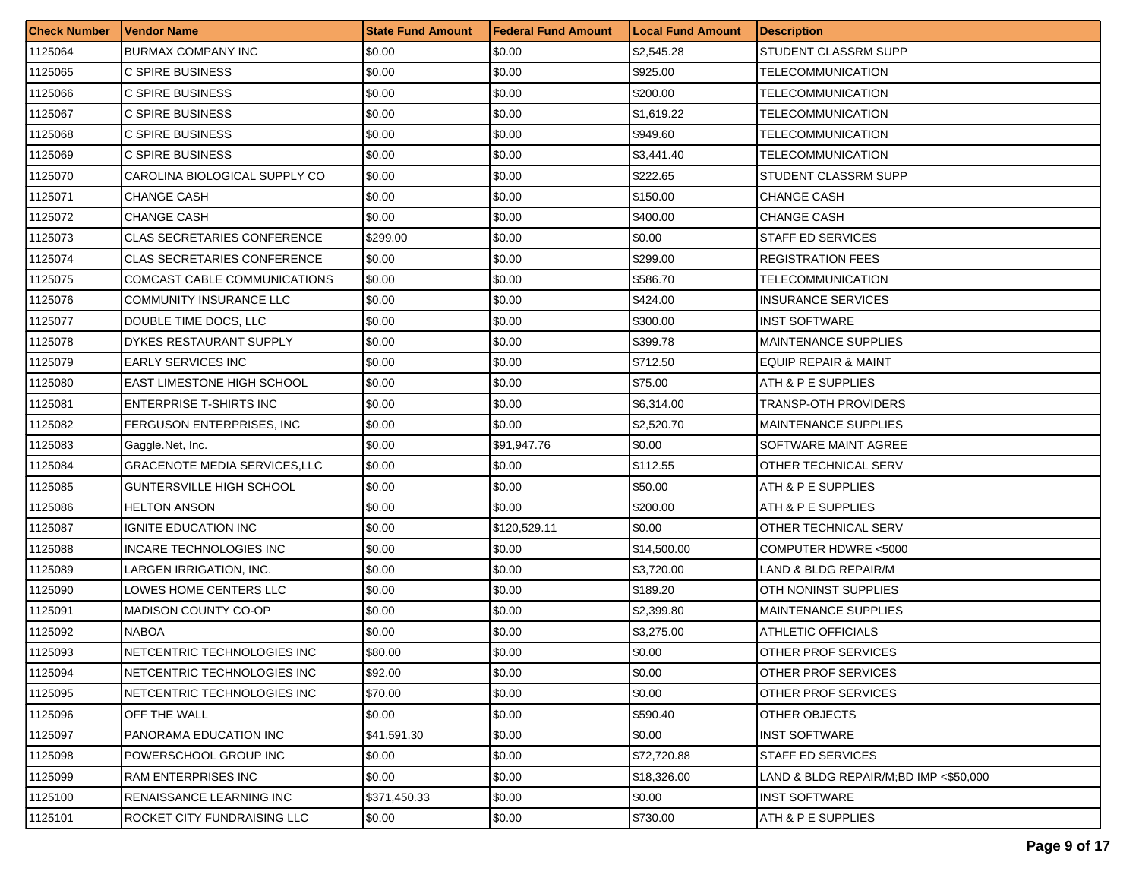| <b>Check Number</b> | <b>Vendor Name</b>                  | <b>State Fund Amount</b> | <b>Federal Fund Amount</b> | <b>Local Fund Amount</b> | <b>Description</b>                    |
|---------------------|-------------------------------------|--------------------------|----------------------------|--------------------------|---------------------------------------|
| 1125064             | <b>BURMAX COMPANY INC</b>           | \$0.00                   | \$0.00                     | \$2,545.28               | STUDENT CLASSRM SUPP                  |
| 1125065             | C SPIRE BUSINESS                    | \$0.00                   | \$0.00                     | \$925.00                 | TELECOMMUNICATION                     |
| 1125066             | C SPIRE BUSINESS                    | \$0.00                   | \$0.00                     | \$200.00                 | TELECOMMUNICATION                     |
| 1125067             | C SPIRE BUSINESS                    | \$0.00                   | \$0.00                     | \$1,619.22               | TELECOMMUNICATION                     |
| 1125068             | C SPIRE BUSINESS                    | \$0.00                   | \$0.00                     | \$949.60                 | TELECOMMUNICATION                     |
| 1125069             | C SPIRE BUSINESS                    | \$0.00                   | \$0.00                     | \$3,441.40               | TELECOMMUNICATION                     |
| 1125070             | CAROLINA BIOLOGICAL SUPPLY CO       | \$0.00                   | \$0.00                     | \$222.65                 | STUDENT CLASSRM SUPP                  |
| 1125071             | <b>CHANGE CASH</b>                  | \$0.00                   | \$0.00                     | \$150.00                 | <b>CHANGE CASH</b>                    |
| 1125072             | <b>CHANGE CASH</b>                  | \$0.00                   | \$0.00                     | \$400.00                 | <b>CHANGE CASH</b>                    |
| 1125073             | <b>CLAS SECRETARIES CONFERENCE</b>  | \$299.00                 | \$0.00                     | \$0.00                   | STAFF ED SERVICES                     |
| 1125074             | <b>CLAS SECRETARIES CONFERENCE</b>  | \$0.00                   | \$0.00                     | \$299.00                 | <b>REGISTRATION FEES</b>              |
| 1125075             | COMCAST CABLE COMMUNICATIONS        | \$0.00                   | \$0.00                     | \$586.70                 | TELECOMMUNICATION                     |
| 1125076             | <b>COMMUNITY INSURANCE LLC</b>      | \$0.00                   | \$0.00                     | \$424.00                 | <b>INSURANCE SERVICES</b>             |
| 1125077             | DOUBLE TIME DOCS, LLC               | \$0.00                   | \$0.00                     | \$300.00                 | <b>INST SOFTWARE</b>                  |
| 1125078             | DYKES RESTAURANT SUPPLY             | \$0.00                   | \$0.00                     | \$399.78                 | <b>MAINTENANCE SUPPLIES</b>           |
| 1125079             | <b>EARLY SERVICES INC</b>           | \$0.00                   | \$0.00                     | \$712.50                 | <b>EQUIP REPAIR &amp; MAINT</b>       |
| 1125080             | <b>EAST LIMESTONE HIGH SCHOOL</b>   | \$0.00                   | \$0.00                     | \$75.00                  | ATH & P E SUPPLIES                    |
| 1125081             | <b>ENTERPRISE T-SHIRTS INC</b>      | \$0.00                   | \$0.00                     | \$6.314.00               | TRANSP-OTH PROVIDERS                  |
| 1125082             | FERGUSON ENTERPRISES, INC           | \$0.00                   | \$0.00                     | \$2,520.70               | <b>MAINTENANCE SUPPLIES</b>           |
| 1125083             | Gaggle.Net, Inc.                    | \$0.00                   | \$91,947.76                | \$0.00                   | SOFTWARE MAINT AGREE                  |
| 1125084             | <b>GRACENOTE MEDIA SERVICES,LLC</b> | \$0.00                   | \$0.00                     | \$112.55                 | OTHER TECHNICAL SERV                  |
| 1125085             | <b>GUNTERSVILLE HIGH SCHOOL</b>     | \$0.00                   | \$0.00                     | \$50.00                  | ATH & P E SUPPLIES                    |
| 1125086             | <b>HELTON ANSON</b>                 | \$0.00                   | \$0.00                     | \$200.00                 | ATH & P E SUPPLIES                    |
| 1125087             | <b>IGNITE EDUCATION INC</b>         | \$0.00                   | \$120,529.11               | \$0.00                   | OTHER TECHNICAL SERV                  |
| 1125088             | INCARE TECHNOLOGIES INC             | \$0.00                   | \$0.00                     | \$14,500.00              | COMPUTER HDWRE <5000                  |
| 1125089             | LARGEN IRRIGATION, INC.             | \$0.00                   | \$0.00                     | \$3,720.00               | LAND & BLDG REPAIR/M                  |
| 1125090             | LOWES HOME CENTERS LLC              | \$0.00                   | \$0.00                     | \$189.20                 | OTH NONINST SUPPLIES                  |
| 1125091             | MADISON COUNTY CO-OP                | \$0.00                   | \$0.00                     | \$2,399.80               | <b>MAINTENANCE SUPPLIES</b>           |
| 1125092             | <b>NABOA</b>                        | \$0.00                   | \$0.00                     | \$3,275.00               | ATHLETIC OFFICIALS                    |
| 1125093             | NETCENTRIC TECHNOLOGIES INC         | \$80.00                  | \$0.00                     | \$0.00                   | OTHER PROF SERVICES                   |
| 1125094             | NETCENTRIC TECHNOLOGIES INC         | \$92.00                  | \$0.00                     | \$0.00                   | <b>OTHER PROF SERVICES</b>            |
| 1125095             | NETCENTRIC TECHNOLOGIES INC         | \$70.00                  | \$0.00                     | \$0.00                   | OTHER PROF SERVICES                   |
| 1125096             | OFF THE WALL                        | \$0.00                   | \$0.00                     | \$590.40                 | <b>OTHER OBJECTS</b>                  |
| 1125097             | PANORAMA EDUCATION INC              | \$41,591.30              | \$0.00                     | \$0.00                   | <b>INST SOFTWARE</b>                  |
| 1125098             | POWERSCHOOL GROUP INC               | \$0.00                   | \$0.00                     | \$72,720.88              | STAFF ED SERVICES                     |
| 1125099             | <b>RAM ENTERPRISES INC</b>          | \$0.00                   | \$0.00                     | \$18,326.00              | LAND & BLDG REPAIR/M;BD IMP <\$50,000 |
| 1125100             | RENAISSANCE LEARNING INC            | \$371,450.33             | \$0.00                     | \$0.00                   | <b>INST SOFTWARE</b>                  |
| 1125101             | <b>ROCKET CITY FUNDRAISING LLC</b>  | \$0.00                   | \$0.00                     | \$730.00                 | ATH & P E SUPPLIES                    |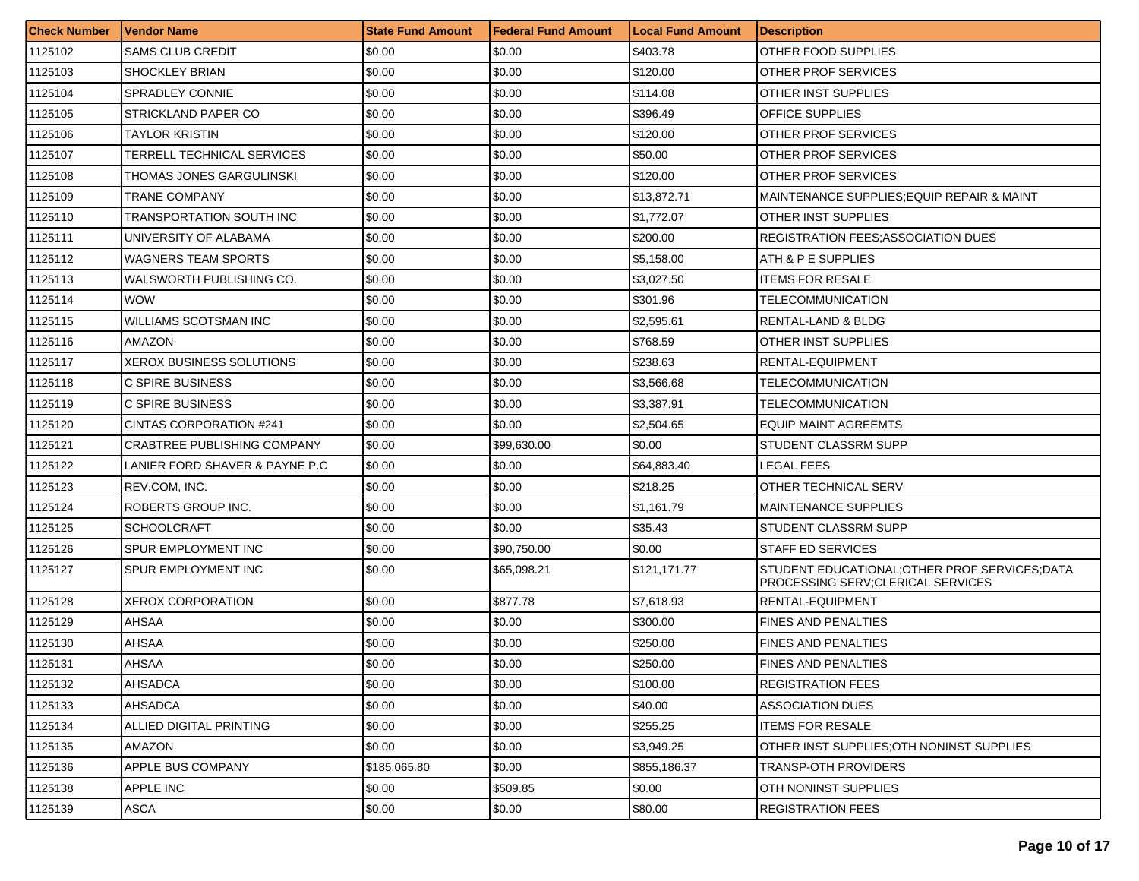| <b>Check Number</b> | <b>Vendor Name</b>                 | <b>State Fund Amount</b> | Federal Fund Amount | <b>Local Fund Amount</b> | <b>Description</b>                                                                   |
|---------------------|------------------------------------|--------------------------|---------------------|--------------------------|--------------------------------------------------------------------------------------|
| 1125102             | <b>SAMS CLUB CREDIT</b>            | \$0.00                   | \$0.00              | \$403.78                 | OTHER FOOD SUPPLIES                                                                  |
| 1125103             | <b>SHOCKLEY BRIAN</b>              | \$0.00                   | \$0.00              | \$120.00                 | OTHER PROF SERVICES                                                                  |
| 1125104             | <b>SPRADLEY CONNIE</b>             | \$0.00                   | \$0.00              | \$114.08                 | OTHER INST SUPPLIES                                                                  |
| 1125105             | STRICKLAND PAPER CO                | \$0.00                   | \$0.00              | \$396.49                 | <b>OFFICE SUPPLIES</b>                                                               |
| 1125106             | TAYLOR KRISTIN                     | \$0.00                   | \$0.00              | \$120.00                 | OTHER PROF SERVICES                                                                  |
| 1125107             | TERRELL TECHNICAL SERVICES         | \$0.00                   | \$0.00              | \$50.00                  | <b>OTHER PROF SERVICES</b>                                                           |
| 1125108             | THOMAS JONES GARGULINSKI           | \$0.00                   | \$0.00              | \$120.00                 | OTHER PROF SERVICES                                                                  |
| 1125109             | TRANE COMPANY                      | \$0.00                   | \$0.00              | \$13.872.71              | <b>MAINTENANCE SUPPLIES: EQUIP REPAIR &amp; MAINT</b>                                |
| 1125110             | TRANSPORTATION SOUTH INC           | \$0.00                   | \$0.00              | \$1.772.07               | OTHER INST SUPPLIES                                                                  |
| 1125111             | UNIVERSITY OF ALABAMA              | \$0.00                   | \$0.00              | \$200.00                 | <b>REGISTRATION FEES; ASSOCIATION DUES</b>                                           |
| 1125112             | <b>WAGNERS TEAM SPORTS</b>         | \$0.00                   | \$0.00              | \$5,158.00               | ATH & P E SUPPLIES                                                                   |
| 1125113             | WALSWORTH PUBLISHING CO.           | \$0.00                   | \$0.00              | \$3,027.50               | <b>ITEMS FOR RESALE</b>                                                              |
| 1125114             | <b>WOW</b>                         | \$0.00                   | \$0.00              | \$301.96                 | TELECOMMUNICATION                                                                    |
| 1125115             | <b>WILLIAMS SCOTSMAN INC</b>       | \$0.00                   | \$0.00              | \$2,595.61               | RENTAL-LAND & BLDG                                                                   |
| 1125116             | AMAZON                             | \$0.00                   | \$0.00              | \$768.59                 | OTHER INST SUPPLIES                                                                  |
| 1125117             | XEROX BUSINESS SOLUTIONS           | \$0.00                   | \$0.00              | \$238.63                 | RENTAL-EQUIPMENT                                                                     |
| 1125118             | C SPIRE BUSINESS                   | \$0.00                   | \$0.00              | \$3,566.68               | TELECOMMUNICATION                                                                    |
| 1125119             | C SPIRE BUSINESS                   | \$0.00                   | \$0.00              | \$3,387.91               | TELECOMMUNICATION                                                                    |
| 1125120             | <b>CINTAS CORPORATION #241</b>     | \$0.00                   | \$0.00              | \$2,504.65               | <b>EQUIP MAINT AGREEMTS</b>                                                          |
| 1125121             | <b>CRABTREE PUBLISHING COMPANY</b> | \$0.00                   | \$99,630.00         | \$0.00                   | STUDENT CLASSRM SUPP                                                                 |
| 1125122             | LANIER FORD SHAVER & PAYNE P.C     | \$0.00                   | \$0.00              | \$64,883.40              | LEGAL FEES                                                                           |
| 1125123             | REV.COM, INC.                      | \$0.00                   | \$0.00              | \$218.25                 | OTHER TECHNICAL SERV                                                                 |
| 1125124             | ROBERTS GROUP INC.                 | \$0.00                   | \$0.00              | \$1,161.79               | <b>MAINTENANCE SUPPLIES</b>                                                          |
| 1125125             | <b>SCHOOLCRAFT</b>                 | \$0.00                   | \$0.00              | \$35.43                  | STUDENT CLASSRM SUPP                                                                 |
| 1125126             | SPUR EMPLOYMENT INC                | \$0.00                   | \$90,750.00         | \$0.00                   | <b>STAFF ED SERVICES</b>                                                             |
| 1125127             | SPUR EMPLOYMENT INC                | \$0.00                   | \$65,098.21         | \$121,171.77             | STUDENT EDUCATIONAL; OTHER PROF SERVICES; DATA<br>PROCESSING SERV; CLERICAL SERVICES |
| 1125128             | XEROX CORPORATION                  | \$0.00                   | \$877.78            | \$7.618.93               | RENTAL-EQUIPMENT                                                                     |
| 1125129             | <b>AHSAA</b>                       | \$0.00                   | \$0.00              | \$300.00                 | <b>FINES AND PENALTIES</b>                                                           |
| 1125130             | AHSAA                              | \$0.00                   | \$0.00              | \$250.00                 | FINES AND PENALTIES                                                                  |
| 1125131             | AHSAA                              | \$0.00                   | \$0.00              | \$250.00                 | <b>FINES AND PENALTIES</b>                                                           |
| 1125132             | AHSADCA                            | \$0.00                   | \$0.00              | \$100.00                 | <b>REGISTRATION FEES</b>                                                             |
| 1125133             | <b>AHSADCA</b>                     | \$0.00                   | \$0.00              | \$40.00                  | <b>ASSOCIATION DUES</b>                                                              |
| 1125134             | ALLIED DIGITAL PRINTING            | \$0.00                   | \$0.00              | \$255.25                 | <b>ITEMS FOR RESALE</b>                                                              |
| 1125135             | AMAZON                             | \$0.00                   | \$0.00              | \$3,949.25               | OTHER INST SUPPLIES: OTH NONINST SUPPLIES                                            |
| 1125136             | APPLE BUS COMPANY                  | \$185,065.80             | \$0.00              | \$855,186.37             | <b>TRANSP-OTH PROVIDERS</b>                                                          |
| 1125138             | APPLE INC                          | \$0.00                   | \$509.85            | \$0.00                   | <b>OTH NONINST SUPPLIES</b>                                                          |
| 1125139             | ASCA                               | \$0.00                   | \$0.00              | \$80.00                  | <b>REGISTRATION FEES</b>                                                             |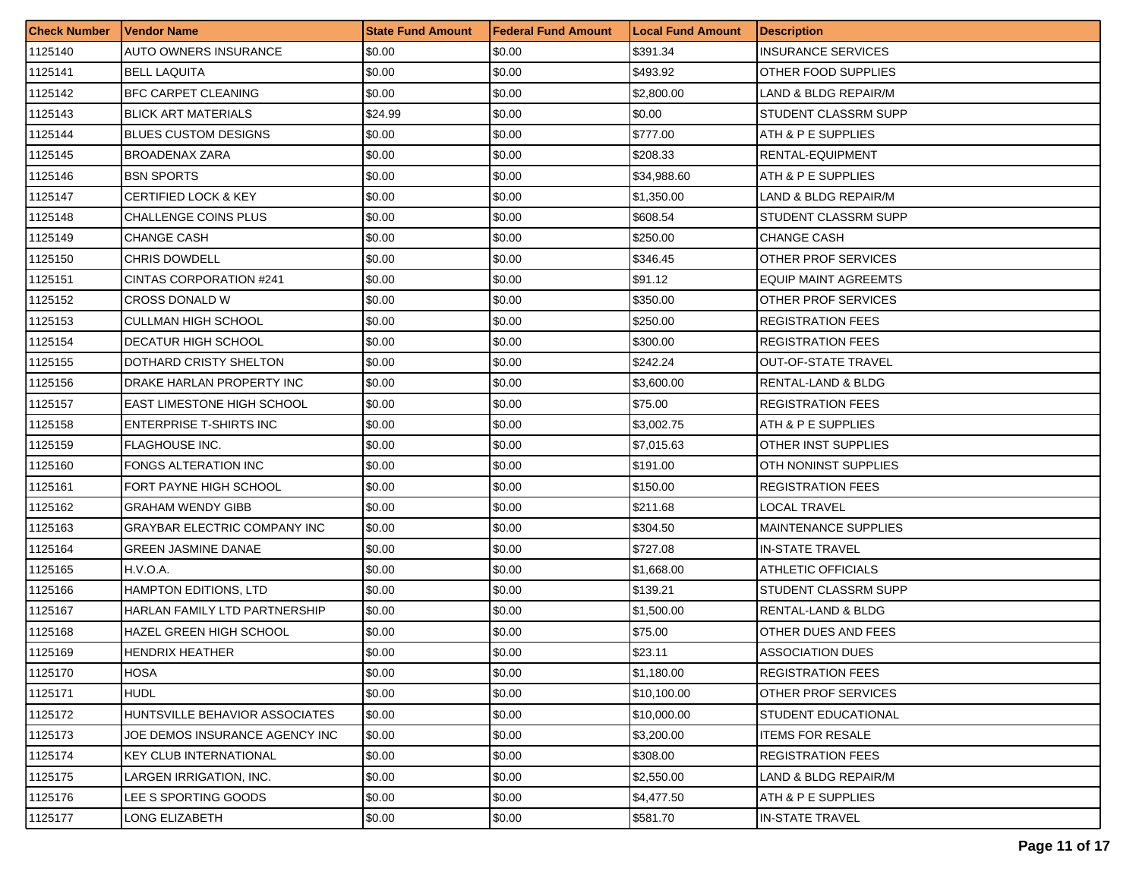| <b>Check Number</b> | <b>Vendor Name</b>                  | <b>State Fund Amount</b> | <b>Federal Fund Amount</b> | <b>Local Fund Amount</b> | <b>Description</b>          |
|---------------------|-------------------------------------|--------------------------|----------------------------|--------------------------|-----------------------------|
| 1125140             | AUTO OWNERS INSURANCE               | \$0.00                   | \$0.00                     | \$391.34                 | <b>INSURANCE SERVICES</b>   |
| 1125141             | <b>BELL LAQUITA</b>                 | \$0.00                   | \$0.00                     | \$493.92                 | OTHER FOOD SUPPLIES         |
| 1125142             | <b>BFC CARPET CLEANING</b>          | \$0.00                   | \$0.00                     | \$2,800.00               | LAND & BLDG REPAIR/M        |
| 1125143             | <b>BLICK ART MATERIALS</b>          | \$24.99                  | \$0.00                     | \$0.00                   | STUDENT CLASSRM SUPP        |
| 1125144             | <b>BLUES CUSTOM DESIGNS</b>         | \$0.00                   | \$0.00                     | \$777.00                 | ATH & P E SUPPLIES          |
| 1125145             | BROADENAX ZARA                      | \$0.00                   | \$0.00                     | \$208.33                 | RENTAL-EQUIPMENT            |
| 1125146             | <b>BSN SPORTS</b>                   | \$0.00                   | \$0.00                     | \$34,988.60              | ATH & P E SUPPLIES          |
| 1125147             | <b>CERTIFIED LOCK &amp; KEY</b>     | \$0.00                   | \$0.00                     | \$1,350.00               | LAND & BLDG REPAIR/M        |
| 1125148             | CHALLENGE COINS PLUS                | \$0.00                   | \$0.00                     | \$608.54                 | STUDENT CLASSRM SUPP        |
| 1125149             | <b>CHANGE CASH</b>                  | \$0.00                   | \$0.00                     | \$250.00                 | <b>CHANGE CASH</b>          |
| 1125150             | <b>CHRIS DOWDELL</b>                | \$0.00                   | \$0.00                     | \$346.45                 | <b>OTHER PROF SERVICES</b>  |
| 1125151             | CINTAS CORPORATION #241             | \$0.00                   | \$0.00                     | \$91.12                  | <b>EQUIP MAINT AGREEMTS</b> |
| 1125152             | <b>CROSS DONALD W</b>               | \$0.00                   | \$0.00                     | \$350.00                 | OTHER PROF SERVICES         |
| 1125153             | <b>CULLMAN HIGH SCHOOL</b>          | \$0.00                   | \$0.00                     | \$250.00                 | <b>REGISTRATION FEES</b>    |
| 1125154             | <b>DECATUR HIGH SCHOOL</b>          | \$0.00                   | \$0.00                     | \$300.00                 | <b>REGISTRATION FEES</b>    |
| 1125155             | DOTHARD CRISTY SHELTON              | \$0.00                   | \$0.00                     | \$242.24                 | <b>OUT-OF-STATE TRAVEL</b>  |
| 1125156             | DRAKE HARLAN PROPERTY INC           | \$0.00                   | \$0.00                     | \$3,600.00               | RENTAL-LAND & BLDG          |
| 1125157             | <b>EAST LIMESTONE HIGH SCHOOL</b>   | \$0.00                   | \$0.00                     | \$75.00                  | <b>REGISTRATION FEES</b>    |
| 1125158             | <b>ENTERPRISE T-SHIRTS INC</b>      | \$0.00                   | \$0.00                     | \$3,002.75               | ATH & P E SUPPLIES          |
| 1125159             | <b>FLAGHOUSE INC.</b>               | \$0.00                   | \$0.00                     | \$7,015.63               | OTHER INST SUPPLIES         |
| 1125160             | FONGS ALTERATION INC                | \$0.00                   | \$0.00                     | \$191.00                 | OTH NONINST SUPPLIES        |
| 1125161             | FORT PAYNE HIGH SCHOOL              | \$0.00                   | \$0.00                     | \$150.00                 | <b>REGISTRATION FEES</b>    |
| 1125162             | <b>GRAHAM WENDY GIBB</b>            | \$0.00                   | \$0.00                     | \$211.68                 | LOCAL TRAVEL                |
| 1125163             | <b>GRAYBAR ELECTRIC COMPANY INC</b> | \$0.00                   | \$0.00                     | \$304.50                 | <b>MAINTENANCE SUPPLIES</b> |
| 1125164             | <b>GREEN JASMINE DANAE</b>          | \$0.00                   | \$0.00                     | \$727.08                 | <b>IN-STATE TRAVEL</b>      |
| 1125165             | H.V.O.A.                            | \$0.00                   | \$0.00                     | \$1,668.00               | ATHLETIC OFFICIALS          |
| 1125166             | <b>HAMPTON EDITIONS, LTD</b>        | \$0.00                   | \$0.00                     | \$139.21                 | STUDENT CLASSRM SUPP        |
| 1125167             | HARLAN FAMILY LTD PARTNERSHIP       | \$0.00                   | \$0.00                     | \$1,500.00               | RENTAL-LAND & BLDG          |
| 1125168             | HAZEL GREEN HIGH SCHOOL             | \$0.00                   | \$0.00                     | \$75.00                  | OTHER DUES AND FEES         |
| 1125169             | HENDRIX HEATHER                     | \$0.00                   | \$0.00                     | \$23.11                  | <b>ASSOCIATION DUES</b>     |
| 1125170             | <b>HOSA</b>                         | \$0.00                   | \$0.00                     | \$1,180.00               | <b>REGISTRATION FEES</b>    |
| 1125171             | <b>HUDL</b>                         | \$0.00                   | \$0.00                     | \$10,100.00              | OTHER PROF SERVICES         |
| 1125172             | HUNTSVILLE BEHAVIOR ASSOCIATES      | \$0.00                   | \$0.00                     | \$10,000.00              | STUDENT EDUCATIONAL         |
| 1125173             | JOE DEMOS INSURANCE AGENCY INC      | \$0.00                   | \$0.00                     | \$3,200.00               | <b>ITEMS FOR RESALE</b>     |
| 1125174             | <b>KEY CLUB INTERNATIONAL</b>       | \$0.00                   | \$0.00                     | \$308.00                 | <b>REGISTRATION FEES</b>    |
| 1125175             | LARGEN IRRIGATION, INC.             | \$0.00                   | \$0.00                     | \$2,550.00               | LAND & BLDG REPAIR/M        |
| 1125176             | LEE S SPORTING GOODS                | \$0.00                   | \$0.00                     | \$4,477.50               | ATH & P E SUPPLIES          |
| 1125177             | LONG ELIZABETH                      | \$0.00                   | \$0.00                     | \$581.70                 | IN-STATE TRAVEL             |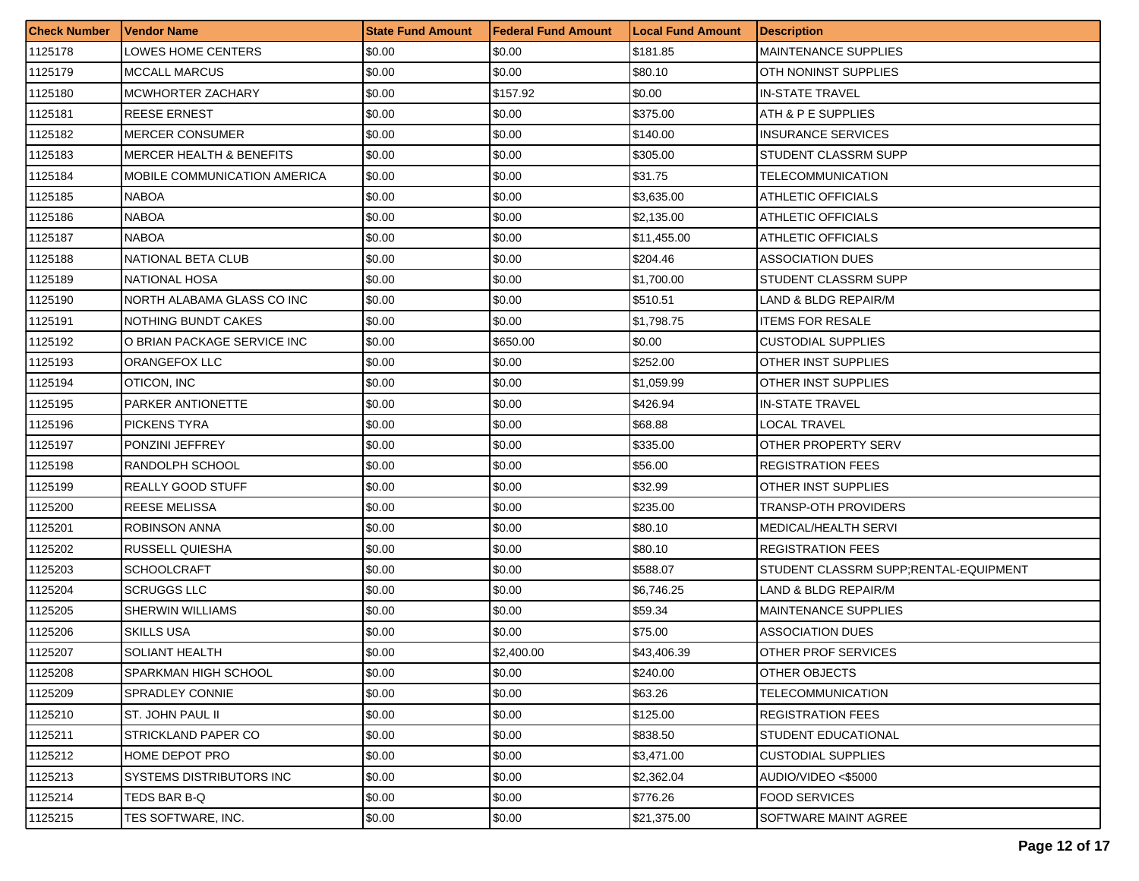| <b>Check Number</b> | <b>Vendor Name</b>                  | <b>State Fund Amount</b> | <b>Federal Fund Amount</b> | <b>Local Fund Amount</b> | <b>Description</b>                     |
|---------------------|-------------------------------------|--------------------------|----------------------------|--------------------------|----------------------------------------|
| 1125178             | LOWES HOME CENTERS                  | \$0.00                   | \$0.00                     | \$181.85                 | <b>MAINTENANCE SUPPLIES</b>            |
| 1125179             | <b>MCCALL MARCUS</b>                | \$0.00                   | \$0.00                     | \$80.10                  | OTH NONINST SUPPLIES                   |
| 1125180             | MCWHORTER ZACHARY                   | \$0.00                   | \$157.92                   | \$0.00                   | <b>IN-STATE TRAVEL</b>                 |
| 1125181             | <b>REESE ERNEST</b>                 | \$0.00                   | \$0.00                     | \$375.00                 | ATH & P E SUPPLIES                     |
| 1125182             | <b>MERCER CONSUMER</b>              | \$0.00                   | \$0.00                     | \$140.00                 | <b>INSURANCE SERVICES</b>              |
| 1125183             | <b>MERCER HEALTH &amp; BENEFITS</b> | \$0.00                   | \$0.00                     | \$305.00                 | STUDENT CLASSRM SUPP                   |
| 1125184             | MOBILE COMMUNICATION AMERICA        | \$0.00                   | \$0.00                     | \$31.75                  | TELECOMMUNICATION                      |
| 1125185             | <b>NABOA</b>                        | \$0.00                   | \$0.00                     | \$3,635.00               | ATHLETIC OFFICIALS                     |
| 1125186             | <b>NABOA</b>                        | \$0.00                   | \$0.00                     | \$2,135.00               | <b>ATHLETIC OFFICIALS</b>              |
| 1125187             | <b>NABOA</b>                        | \$0.00                   | \$0.00                     | \$11,455.00              | ATHLETIC OFFICIALS                     |
| 1125188             | NATIONAL BETA CLUB                  | \$0.00                   | \$0.00                     | \$204.46                 | <b>ASSOCIATION DUES</b>                |
| 1125189             | NATIONAL HOSA                       | \$0.00                   | \$0.00                     | \$1,700.00               | STUDENT CLASSRM SUPP                   |
| 1125190             | NORTH ALABAMA GLASS CO INC          | \$0.00                   | \$0.00                     | \$510.51                 | LAND & BLDG REPAIR/M                   |
| 1125191             | NOTHING BUNDT CAKES                 | \$0.00                   | \$0.00                     | \$1,798.75               | <b>ITEMS FOR RESALE</b>                |
| 1125192             | O BRIAN PACKAGE SERVICE INC         | \$0.00                   | \$650.00                   | \$0.00                   | <b>CUSTODIAL SUPPLIES</b>              |
| 1125193             | ORANGEFOX LLC                       | \$0.00                   | \$0.00                     | \$252.00                 | OTHER INST SUPPLIES                    |
| 1125194             | OTICON, INC                         | \$0.00                   | \$0.00                     | \$1,059.99               | OTHER INST SUPPLIES                    |
| 1125195             | PARKER ANTIONETTE                   | \$0.00                   | \$0.00                     | \$426.94                 | <b>IN-STATE TRAVEL</b>                 |
| 1125196             | <b>PICKENS TYRA</b>                 | \$0.00                   | \$0.00                     | \$68.88                  | <b>LOCAL TRAVEL</b>                    |
| 1125197             | PONZINI JEFFREY                     | \$0.00                   | \$0.00                     | \$335.00                 | OTHER PROPERTY SERV                    |
| 1125198             | RANDOLPH SCHOOL                     | \$0.00                   | \$0.00                     | \$56.00                  | <b>REGISTRATION FEES</b>               |
| 1125199             | <b>REALLY GOOD STUFF</b>            | \$0.00                   | \$0.00                     | \$32.99                  | OTHER INST SUPPLIES                    |
| 1125200             | <b>REESE MELISSA</b>                | \$0.00                   | \$0.00                     | \$235.00                 | TRANSP-OTH PROVIDERS                   |
| 1125201             | ROBINSON ANNA                       | \$0.00                   | \$0.00                     | \$80.10                  | MEDICAL/HEALTH SERVI                   |
| 1125202             | RUSSELL QUIESHA                     | \$0.00                   | \$0.00                     | \$80.10                  | <b>REGISTRATION FEES</b>               |
| 1125203             | <b>SCHOOLCRAFT</b>                  | \$0.00                   | \$0.00                     | \$588.07                 | STUDENT CLASSRM SUPP; RENTAL-EQUIPMENT |
| 1125204             | SCRUGGS LLC                         | \$0.00                   | \$0.00                     | \$6,746.25               | LAND & BLDG REPAIR/M                   |
| 1125205             | <b>SHERWIN WILLIAMS</b>             | \$0.00                   | \$0.00                     | \$59.34                  | <b>MAINTENANCE SUPPLIES</b>            |
| 1125206             | <b>SKILLS USA</b>                   | \$0.00                   | \$0.00                     | \$75.00                  | <b>ASSOCIATION DUES</b>                |
| 1125207             | SOLIANT HEALTH                      | \$0.00                   | \$2,400.00                 | \$43,406.39              | OTHER PROF SERVICES                    |
| 1125208             | SPARKMAN HIGH SCHOOL                | \$0.00                   | \$0.00                     | \$240.00                 | <b>OTHER OBJECTS</b>                   |
| 1125209             | SPRADLEY CONNIE                     | \$0.00                   | \$0.00                     | \$63.26                  | <b>TELECOMMUNICATION</b>               |
| 1125210             | ST. JOHN PAUL II                    | \$0.00                   | \$0.00                     | \$125.00                 | <b>REGISTRATION FEES</b>               |
| 1125211             | STRICKLAND PAPER CO                 | \$0.00                   | \$0.00                     | \$838.50                 | <b>STUDENT EDUCATIONAL</b>             |
| 1125212             | HOME DEPOT PRO                      | \$0.00                   | \$0.00                     | \$3,471.00               | <b>CUSTODIAL SUPPLIES</b>              |
| 1125213             | SYSTEMS DISTRIBUTORS INC            | \$0.00                   | \$0.00                     | \$2,362.04               | AUDIO/VIDEO <\$5000                    |
| 1125214             | TEDS BAR B-Q                        | \$0.00                   | \$0.00                     | \$776.26                 | <b>FOOD SERVICES</b>                   |
| 1125215             | TES SOFTWARE. INC.                  | \$0.00                   | \$0.00                     | \$21,375.00              | <b>SOFTWARE MAINT AGREE</b>            |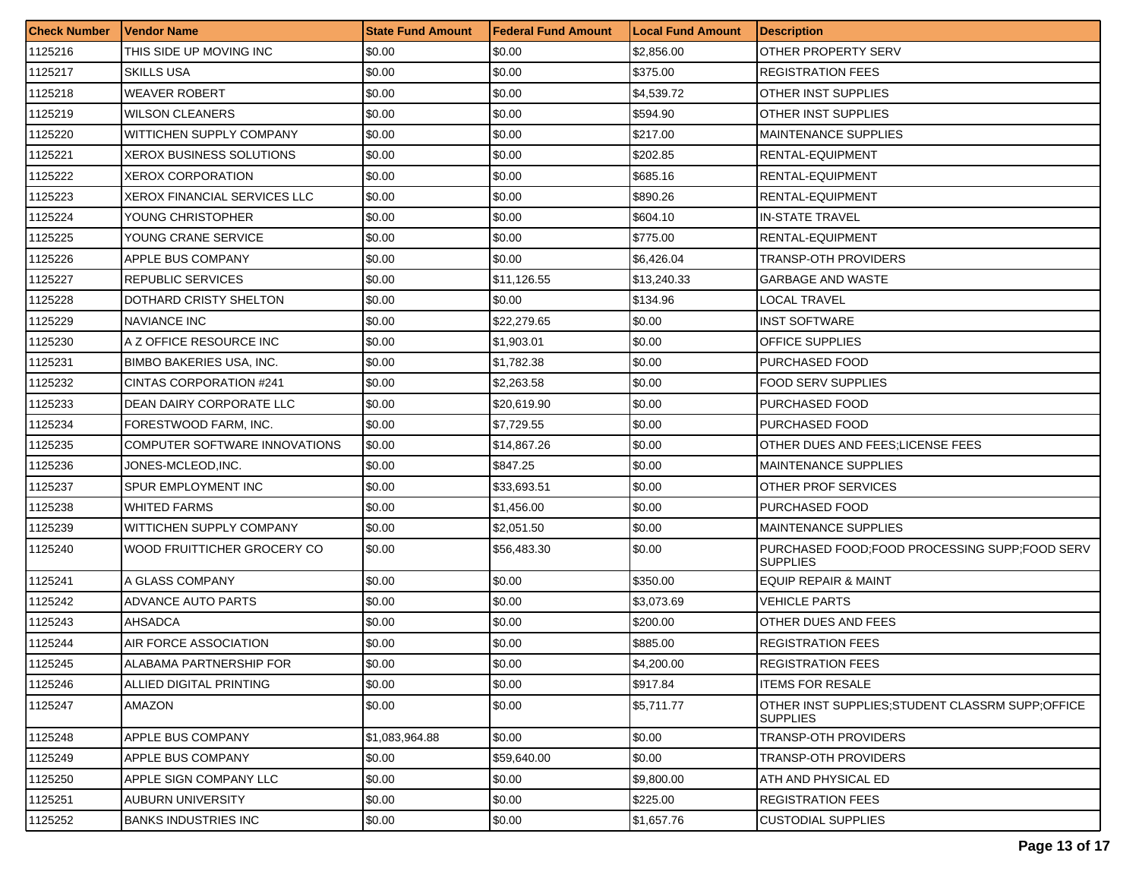| <b>Check Number</b> | <b>Vendor Name</b>                  | <b>State Fund Amount</b> | Federal Fund Amount | <b>Local Fund Amount</b> | <b>Description</b>                                                 |
|---------------------|-------------------------------------|--------------------------|---------------------|--------------------------|--------------------------------------------------------------------|
| 1125216             | THIS SIDE UP MOVING INC             | \$0.00                   | \$0.00              | \$2,856.00               | OTHER PROPERTY SERV                                                |
| 1125217             | <b>SKILLS USA</b>                   | \$0.00                   | \$0.00              | \$375.00                 | <b>REGISTRATION FEES</b>                                           |
| 1125218             | <b>WEAVER ROBERT</b>                | \$0.00                   | \$0.00              | \$4,539.72               | OTHER INST SUPPLIES                                                |
| 1125219             | <b>WILSON CLEANERS</b>              | \$0.00                   | \$0.00              | \$594.90                 | OTHER INST SUPPLIES                                                |
| 1125220             | WITTICHEN SUPPLY COMPANY            | \$0.00                   | \$0.00              | \$217.00                 | IMAINTENANCE SUPPLIES                                              |
| 1125221             | <b>XEROX BUSINESS SOLUTIONS</b>     | \$0.00                   | \$0.00              | \$202.85                 | RENTAL-EQUIPMENT                                                   |
| 1125222             | XEROX CORPORATION                   | \$0.00                   | \$0.00              | \$685.16                 | RENTAL-EQUIPMENT                                                   |
| 1125223             | <b>XEROX FINANCIAL SERVICES LLC</b> | \$0.00                   | \$0.00              | \$890.26                 | RENTAL-EQUIPMENT                                                   |
| 1125224             | YOUNG CHRISTOPHER                   | \$0.00                   | \$0.00              | \$604.10                 | <b>IN-STATE TRAVEL</b>                                             |
| 1125225             | YOUNG CRANE SERVICE                 | \$0.00                   | \$0.00              | \$775.00                 | RENTAL-EQUIPMENT                                                   |
| 1125226             | APPLE BUS COMPANY                   | \$0.00                   | \$0.00              | \$6,426.04               | TRANSP-OTH PROVIDERS                                               |
| 1125227             | <b>REPUBLIC SERVICES</b>            | \$0.00                   | \$11,126.55         | \$13,240.33              | <b>GARBAGE AND WASTE</b>                                           |
| 1125228             | DOTHARD CRISTY SHELTON              | \$0.00                   | \$0.00              | \$134.96                 | <b>LOCAL TRAVEL</b>                                                |
| 1125229             | <b>NAVIANCE INC</b>                 | \$0.00                   | \$22,279.65         | \$0.00                   | INST SOFTWARE                                                      |
| 1125230             | A Z OFFICE RESOURCE INC             | \$0.00                   | \$1,903.01          | \$0.00                   | OFFICE SUPPLIES                                                    |
| 1125231             | <b>BIMBO BAKERIES USA. INC.</b>     | \$0.00                   | \$1,782.38          | \$0.00                   | PURCHASED FOOD                                                     |
| 1125232             | CINTAS CORPORATION #241             | \$0.00                   | \$2,263.58          | \$0.00                   | <b>FOOD SERV SUPPLIES</b>                                          |
| 1125233             | DEAN DAIRY CORPORATE LLC            | \$0.00                   | \$20,619.90         | \$0.00                   | PURCHASED FOOD                                                     |
| 1125234             | FORESTWOOD FARM, INC.               | \$0.00                   | \$7,729.55          | \$0.00                   | PURCHASED FOOD                                                     |
| 1125235             | COMPUTER SOFTWARE INNOVATIONS       | \$0.00                   | \$14,867.26         | \$0.00                   | OTHER DUES AND FEES; LICENSE FEES                                  |
| 1125236             | JONES-MCLEOD, INC.                  | \$0.00                   | \$847.25            | \$0.00                   | <b>MAINTENANCE SUPPLIES</b>                                        |
| 1125237             | SPUR EMPLOYMENT INC                 | \$0.00                   | \$33,693.51         | \$0.00                   | OTHER PROF SERVICES                                                |
| 1125238             | <b>WHITED FARMS</b>                 | \$0.00                   | \$1,456.00          | \$0.00                   | PURCHASED FOOD                                                     |
| 1125239             | WITTICHEN SUPPLY COMPANY            | \$0.00                   | \$2,051.50          | \$0.00                   | <b>MAINTENANCE SUPPLIES</b>                                        |
| 1125240             | WOOD FRUITTICHER GROCERY CO         | \$0.00                   | \$56,483.30         | \$0.00                   | PURCHASED FOOD; FOOD PROCESSING SUPP; FOOD SERV<br><b>SUPPLIES</b> |
| 1125241             | A GLASS COMPANY                     | \$0.00                   | \$0.00              | \$350.00                 | <b>EQUIP REPAIR &amp; MAINT</b>                                    |
| 1125242             | ADVANCE AUTO PARTS                  | \$0.00                   | \$0.00              | \$3.073.69               | VEHICLE PARTS                                                      |
| 1125243             | <b>AHSADCA</b>                      | \$0.00                   | \$0.00              | \$200.00                 | OTHER DUES AND FEES                                                |
| 1125244             | AIR FORCE ASSOCIATION               | \$0.00                   | \$0.00              | \$885.00                 | <b>REGISTRATION FEES</b>                                           |
| 1125245             | ALABAMA PARTNERSHIP FOR             | \$0.00                   | \$0.00              | \$4,200.00               | <b>REGISTRATION FEES</b>                                           |
| 1125246             | ALLIED DIGITAL PRINTING             | \$0.00                   | \$0.00              | \$917.84                 | <b>ITEMS FOR RESALE</b>                                            |
| 1125247             | AMAZON                              | \$0.00                   | \$0.00              | \$5,711.77               | OTHER INST SUPPLIES:STUDENT CLASSRM SUPP:OFFICE<br><b>SUPPLIES</b> |
| 1125248             | APPLE BUS COMPANY                   | \$1,083,964.88           | \$0.00              | \$0.00                   | TRANSP-OTH PROVIDERS                                               |
| 1125249             | APPLE BUS COMPANY                   | \$0.00                   | \$59,640.00         | \$0.00                   | <b>TRANSP-OTH PROVIDERS</b>                                        |
| 1125250             | APPLE SIGN COMPANY LLC              | \$0.00                   | \$0.00              | \$9,800.00               | ATH AND PHYSICAL ED                                                |
| 1125251             | <b>AUBURN UNIVERSITY</b>            | \$0.00                   | \$0.00              | \$225.00                 | <b>REGISTRATION FEES</b>                                           |
| 1125252             | <b>BANKS INDUSTRIES INC</b>         | \$0.00                   | \$0.00              | \$1,657.76               | <b>CUSTODIAL SUPPLIES</b>                                          |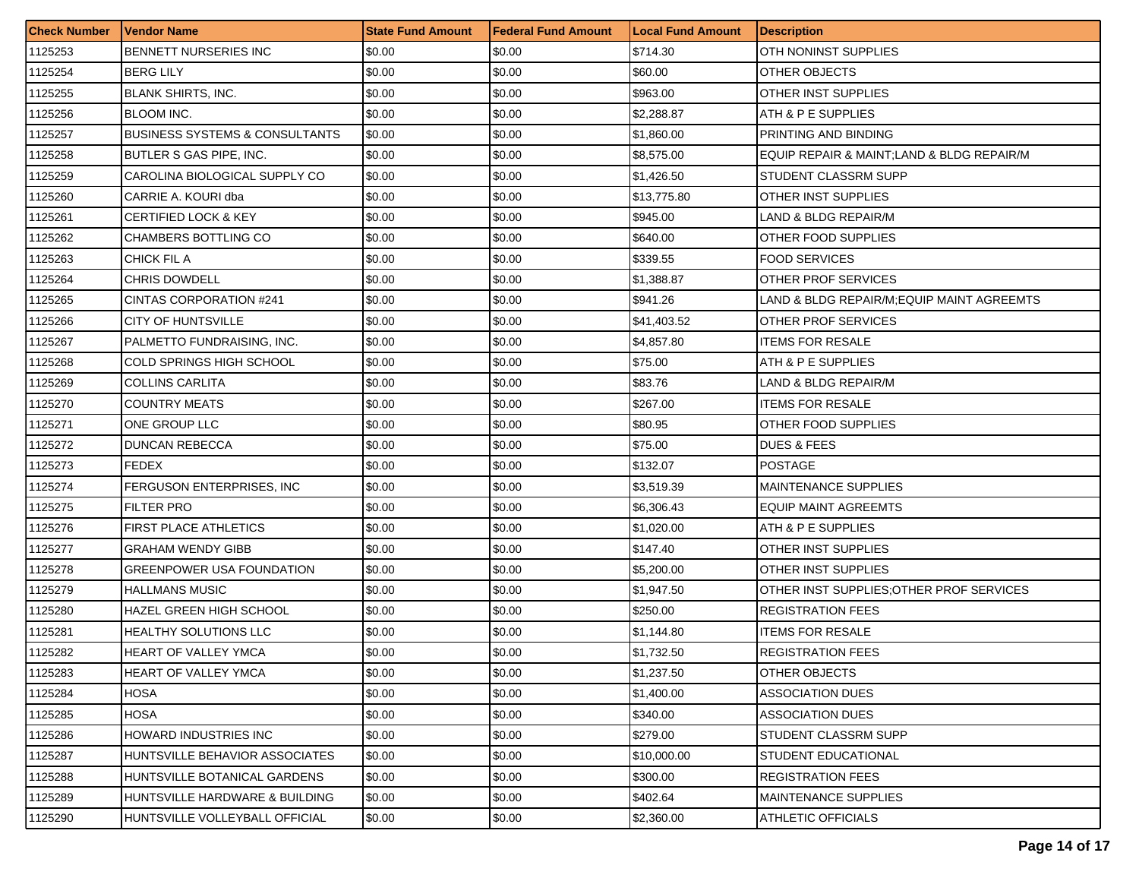| <b>Check Number</b> | Vendor Name                               | <b>State Fund Amount</b> | l Federal Fund Amount | <b>Local Fund Amount</b> | <b>Description</b>                         |
|---------------------|-------------------------------------------|--------------------------|-----------------------|--------------------------|--------------------------------------------|
| 1125253             | BENNETT NURSERIES INC                     | \$0.00                   | \$0.00                | \$714.30                 | OTH NONINST SUPPLIES                       |
| 1125254             | <b>BERG LILY</b>                          | \$0.00                   | \$0.00                | \$60.00                  | OTHER OBJECTS                              |
| 1125255             | <b>BLANK SHIRTS, INC.</b>                 | \$0.00                   | \$0.00                | \$963.00                 | OTHER INST SUPPLIES                        |
| 1125256             | <b>BLOOM INC.</b>                         | \$0.00                   | \$0.00                | \$2,288.87               | ATH & P E SUPPLIES                         |
| 1125257             | <b>BUSINESS SYSTEMS &amp; CONSULTANTS</b> | \$0.00                   | \$0.00                | \$1,860.00               | PRINTING AND BINDING                       |
| 1125258             | BUTLER S GAS PIPE, INC.                   | \$0.00                   | \$0.00                | \$8,575.00               | EQUIP REPAIR & MAINT; LAND & BLDG REPAIR/M |
| 1125259             | CAROLINA BIOLOGICAL SUPPLY CO             | \$0.00                   | \$0.00                | \$1,426.50               | STUDENT CLASSRM SUPP                       |
| 1125260             | CARRIE A. KOURI dba                       | \$0.00                   | \$0.00                | \$13,775.80              | OTHER INST SUPPLIES                        |
| 1125261             | <b>CERTIFIED LOCK &amp; KEY</b>           | \$0.00                   | \$0.00                | \$945.00                 | LAND & BLDG REPAIR/M                       |
| 1125262             | CHAMBERS BOTTLING CO                      | \$0.00                   | \$0.00                | \$640.00                 | OTHER FOOD SUPPLIES                        |
| 1125263             | CHICK FIL A                               | \$0.00                   | \$0.00                | \$339.55                 | <b>FOOD SERVICES</b>                       |
| 1125264             | CHRIS DOWDELL                             | \$0.00                   | \$0.00                | \$1,388.87               | OTHER PROF SERVICES                        |
| 1125265             | CINTAS CORPORATION #241                   | \$0.00                   | \$0.00                | \$941.26                 | LAND & BLDG REPAIR/M:EQUIP MAINT AGREEMTS  |
| 1125266             | <b>CITY OF HUNTSVILLE</b>                 | \$0.00                   | \$0.00                | \$41,403.52              | OTHER PROF SERVICES                        |
| 1125267             | PALMETTO FUNDRAISING, INC.                | \$0.00                   | \$0.00                | \$4,857.80               | <b>ITEMS FOR RESALE</b>                    |
| 1125268             | COLD SPRINGS HIGH SCHOOL                  | \$0.00                   | \$0.00                | \$75.00                  | ATH & P E SUPPLIES                         |
| 1125269             | COLLINS CARLITA                           | \$0.00                   | \$0.00                | \$83.76                  | LAND & BLDG REPAIR/M                       |
| 1125270             | <b>COUNTRY MEATS</b>                      | \$0.00                   | \$0.00                | \$267.00                 | <b>ITEMS FOR RESALE</b>                    |
| 1125271             | ONE GROUP LLC                             | \$0.00                   | \$0.00                | \$80.95                  | OTHER FOOD SUPPLIES                        |
| 1125272             | DUNCAN REBECCA                            | \$0.00                   | \$0.00                | \$75.00                  | DUES & FEES                                |
| 1125273             | <b>FEDEX</b>                              | \$0.00                   | \$0.00                | \$132.07                 | <b>POSTAGE</b>                             |
| 1125274             | FERGUSON ENTERPRISES, INC                 | \$0.00                   | \$0.00                | \$3,519.39               | <b>MAINTENANCE SUPPLIES</b>                |
| 1125275             | <b>FILTER PRO</b>                         | \$0.00                   | \$0.00                | \$6,306.43               | <b>EQUIP MAINT AGREEMTS</b>                |
| 1125276             | <b>FIRST PLACE ATHLETICS</b>              | \$0.00                   | \$0.00                | \$1,020.00               | ATH & P E SUPPLIES                         |
| 1125277             | GRAHAM WENDY GIBB                         | \$0.00                   | \$0.00                | \$147.40                 | OTHER INST SUPPLIES                        |
| 1125278             | GREENPOWER USA FOUNDATION                 | \$0.00                   | \$0.00                | \$5,200.00               | OTHER INST SUPPLIES                        |
| 1125279             | HALLMANS MUSIC                            | \$0.00                   | \$0.00                | \$1,947.50               | OTHER INST SUPPLIES: OTHER PROF SERVICES   |
| 1125280             | HAZEL GREEN HIGH SCHOOL                   | \$0.00                   | \$0.00                | \$250.00                 | <b>REGISTRATION FEES</b>                   |
| 1125281             | HEALTHY SOLUTIONS LLC                     | \$0.00                   | \$0.00                | \$1,144.80               | <b>ITEMS FOR RESALE</b>                    |
| 1125282             | HEART OF VALLEY YMCA                      | \$0.00                   | \$0.00                | \$1,732.50               | <b>REGISTRATION FEES</b>                   |
| 1125283             | <b>HEART OF VALLEY YMCA</b>               | \$0.00                   | \$0.00                | \$1,237.50               | OTHER OBJECTS                              |
| 1125284             | <b>HOSA</b>                               | \$0.00                   | \$0.00                | \$1,400.00               | <b>ASSOCIATION DUES</b>                    |
| 1125285             | HOSA                                      | \$0.00                   | \$0.00                | \$340.00                 | <b>ASSOCIATION DUES</b>                    |
| 1125286             | HOWARD INDUSTRIES INC                     | \$0.00                   | \$0.00                | \$279.00                 | STUDENT CLASSRM SUPP                       |
| 1125287             | HUNTSVILLE BEHAVIOR ASSOCIATES            | \$0.00                   | \$0.00                | \$10,000.00              | STUDENT EDUCATIONAL                        |
| 1125288             | HUNTSVILLE BOTANICAL GARDENS              | \$0.00                   | \$0.00                | \$300.00                 | <b>REGISTRATION FEES</b>                   |
| 1125289             | HUNTSVILLE HARDWARE & BUILDING            | \$0.00                   | \$0.00                | \$402.64                 | MAINTENANCE SUPPLIES                       |
| 1125290             | HUNTSVILLE VOLLEYBALL OFFICIAL            | \$0.00                   | \$0.00                | \$2,360.00               | <b>ATHLETIC OFFICIALS</b>                  |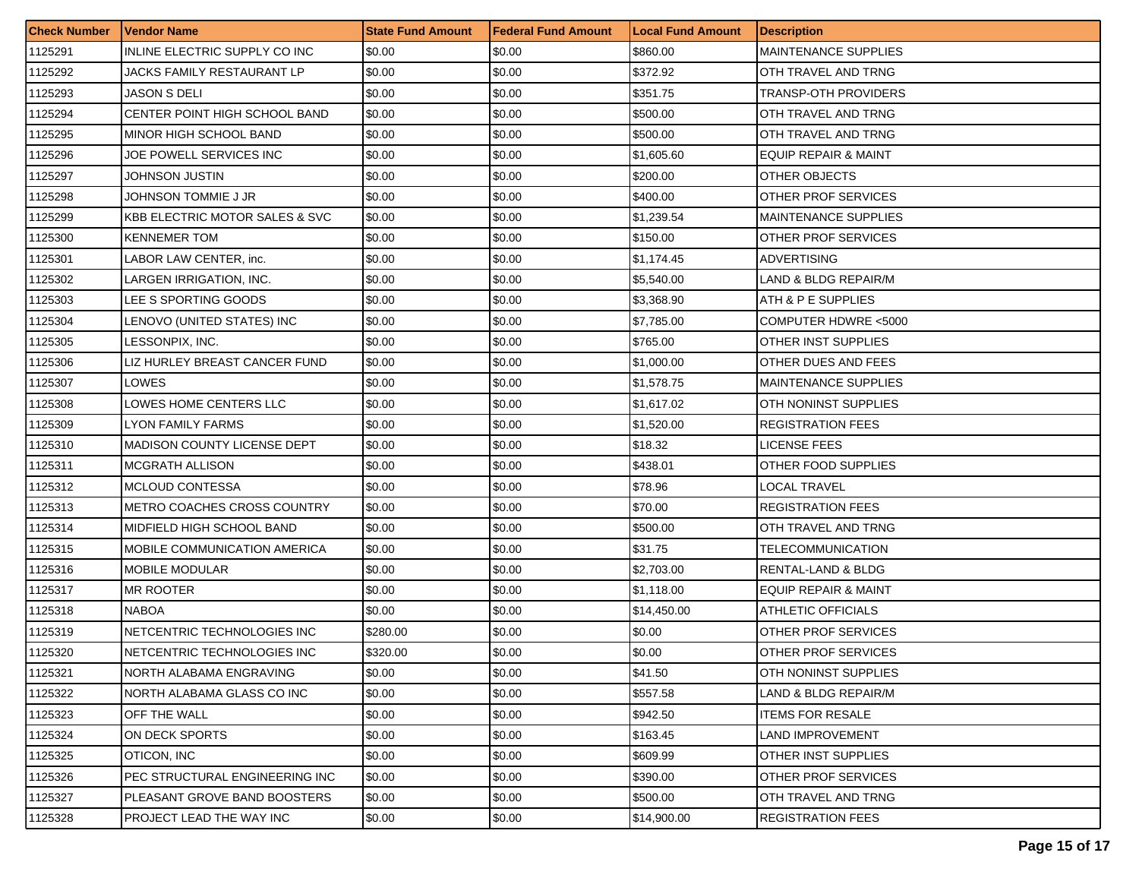| <b>Check Number</b> | Vendor Name                               | <b>State Fund Amount</b> | l Federal Fund Amount | <b>Local Fund Amount</b> | <b>Description</b>              |
|---------------------|-------------------------------------------|--------------------------|-----------------------|--------------------------|---------------------------------|
| 1125291             | INLINE ELECTRIC SUPPLY CO INC             | \$0.00                   | \$0.00                | \$860.00                 | <b>MAINTENANCE SUPPLIES</b>     |
| 1125292             | JACKS FAMILY RESTAURANT LP                | \$0.00                   | \$0.00                | \$372.92                 | OTH TRAVEL AND TRNG             |
| 1125293             | JASON S DELI                              | \$0.00                   | \$0.00                | \$351.75                 | TRANSP-OTH PROVIDERS            |
| 1125294             | CENTER POINT HIGH SCHOOL BAND             | \$0.00                   | \$0.00                | \$500.00                 | OTH TRAVEL AND TRNG             |
| 1125295             | MINOR HIGH SCHOOL BAND                    | \$0.00                   | \$0.00                | \$500.00                 | OTH TRAVEL AND TRNG             |
| 1125296             | JOE POWELL SERVICES INC                   | \$0.00                   | \$0.00                | \$1,605.60               | <b>EQUIP REPAIR &amp; MAINT</b> |
| 1125297             | JOHNSON JUSTIN                            | \$0.00                   | \$0.00                | \$200.00                 | OTHER OBJECTS                   |
| 1125298             | JOHNSON TOMMIE J JR                       | \$0.00                   | \$0.00                | \$400.00                 | OTHER PROF SERVICES             |
| 1125299             | <b>KBB ELECTRIC MOTOR SALES &amp; SVC</b> | \$0.00                   | \$0.00                | \$1,239.54               | <b>MAINTENANCE SUPPLIES</b>     |
| 1125300             | KENNEMER TOM                              | \$0.00                   | \$0.00                | \$150.00                 | OTHER PROF SERVICES             |
| 1125301             | LABOR LAW CENTER, inc.                    | \$0.00                   | \$0.00                | \$1,174.45               | ADVERTISING                     |
| 1125302             | LARGEN IRRIGATION, INC.                   | \$0.00                   | \$0.00                | \$5,540.00               | LAND & BLDG REPAIR/M            |
| 1125303             | LEE S SPORTING GOODS                      | \$0.00                   | \$0.00                | \$3.368.90               | ATH & P E SUPPLIES              |
| 1125304             | LENOVO (UNITED STATES) INC                | \$0.00                   | \$0.00                | \$7,785.00               | COMPUTER HDWRE <5000            |
| 1125305             | LESSONPIX, INC.                           | \$0.00                   | \$0.00                | \$765.00                 | OTHER INST SUPPLIES             |
| 1125306             | LIZ HURLEY BREAST CANCER FUND             | \$0.00                   | \$0.00                | \$1,000.00               | OTHER DUES AND FEES             |
| 1125307             | LOWES                                     | \$0.00                   | \$0.00                | \$1,578.75               | <b>MAINTENANCE SUPPLIES</b>     |
| 1125308             | LOWES HOME CENTERS LLC                    | \$0.00                   | \$0.00                | \$1.617.02               | OTH NONINST SUPPLIES            |
| 1125309             | LYON FAMILY FARMS                         | \$0.00                   | \$0.00                | \$1,520.00               | <b>REGISTRATION FEES</b>        |
| 1125310             | <b>MADISON COUNTY LICENSE DEPT</b>        | \$0.00                   | \$0.00                | \$18.32                  | LICENSE FEES                    |
| 1125311             | <b>MCGRATH ALLISON</b>                    | \$0.00                   | \$0.00                | \$438.01                 | OTHER FOOD SUPPLIES             |
| 1125312             | MCLOUD CONTESSA                           | \$0.00                   | \$0.00                | \$78.96                  | LOCAL TRAVEL                    |
| 1125313             | METRO COACHES CROSS COUNTRY               | \$0.00                   | \$0.00                | \$70.00                  | <b>REGISTRATION FEES</b>        |
| 1125314             | MIDFIELD HIGH SCHOOL BAND                 | \$0.00                   | \$0.00                | \$500.00                 | OTH TRAVEL AND TRNG             |
| 1125315             | <b>MOBILE COMMUNICATION AMERICA</b>       | \$0.00                   | \$0.00                | \$31.75                  | TELECOMMUNICATION               |
| 1125316             | <b>MOBILE MODULAR</b>                     | \$0.00                   | \$0.00                | \$2,703.00               | RENTAL-LAND & BLDG              |
| 1125317             | MR ROOTER                                 | \$0.00                   | \$0.00                | \$1,118.00               | <b>EQUIP REPAIR &amp; MAINT</b> |
| 1125318             | <b>NABOA</b>                              | \$0.00                   | \$0.00                | \$14,450.00              | ATHLETIC OFFICIALS              |
| 1125319             | NETCENTRIC TECHNOLOGIES INC               | \$280.00                 | \$0.00                | \$0.00                   | OTHER PROF SERVICES             |
| 1125320             | NETCENTRIC TECHNOLOGIES INC               | \$320.00                 | \$0.00                | \$0.00                   | OTHER PROF SERVICES             |
| 1125321             | NORTH ALABAMA ENGRAVING                   | \$0.00                   | \$0.00                | \$41.50                  | IOTH NONINST SUPPLIES           |
| 1125322             | NORTH ALABAMA GLASS CO INC                | \$0.00                   | \$0.00                | \$557.58                 | LAND & BLDG REPAIR/M            |
| 1125323             | OFF THE WALL                              | \$0.00                   | \$0.00                | \$942.50                 | <b>ITEMS FOR RESALE</b>         |
| 1125324             | ON DECK SPORTS                            | \$0.00                   | \$0.00                | \$163.45                 | <b>LAND IMPROVEMENT</b>         |
| 1125325             | OTICON, INC                               | \$0.00                   | \$0.00                | \$609.99                 | OTHER INST SUPPLIES             |
| 1125326             | PEC STRUCTURAL ENGINEERING INC            | \$0.00                   | \$0.00                | \$390.00                 | OTHER PROF SERVICES             |
| 1125327             | PLEASANT GROVE BAND BOOSTERS              | \$0.00                   | \$0.00                | \$500.00                 | OTH TRAVEL AND TRNG             |
| 1125328             | PROJECT LEAD THE WAY INC                  | \$0.00                   | \$0.00                | \$14,900.00              | <b>REGISTRATION FEES</b>        |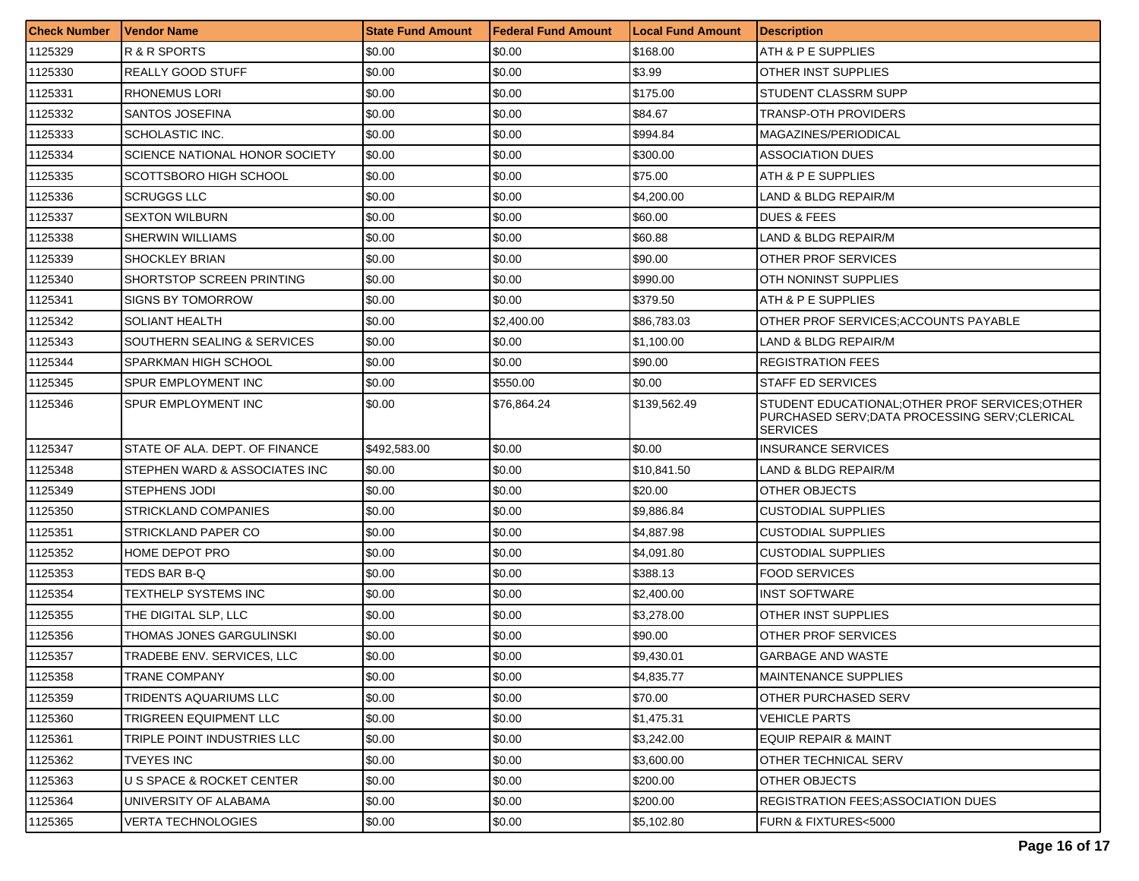| <b>Check Number</b> | <b>Vendor Name</b>             | <b>State Fund Amount</b> | <b>Federal Fund Amount</b> | <b>Local Fund Amount</b> | <b>Description</b>                                                                                                   |
|---------------------|--------------------------------|--------------------------|----------------------------|--------------------------|----------------------------------------------------------------------------------------------------------------------|
| 1125329             | R & R SPORTS                   | \$0.00                   | \$0.00                     | \$168.00                 | ATH & P E SUPPLIES                                                                                                   |
| 1125330             | <b>REALLY GOOD STUFF</b>       | \$0.00                   | \$0.00                     | \$3.99                   | OTHER INST SUPPLIES                                                                                                  |
| 1125331             | <b>RHONEMUS LORI</b>           | \$0.00                   | \$0.00                     | \$175.00                 | STUDENT CLASSRM SUPP                                                                                                 |
| 1125332             | SANTOS JOSEFINA                | \$0.00                   | \$0.00                     | \$84.67                  | TRANSP-OTH PROVIDERS                                                                                                 |
| 1125333             | SCHOLASTIC INC.                | \$0.00                   | \$0.00                     | \$994.84                 | MAGAZINES/PERIODICAL                                                                                                 |
| 1125334             | SCIENCE NATIONAL HONOR SOCIETY | \$0.00                   | \$0.00                     | \$300.00                 | <b>ASSOCIATION DUES</b>                                                                                              |
| 1125335             | SCOTTSBORO HIGH SCHOOL         | \$0.00                   | \$0.00                     | \$75.00                  | ATH & P E SUPPLIES                                                                                                   |
| 1125336             | <b>SCRUGGS LLC</b>             | \$0.00                   | \$0.00                     | \$4,200.00               | LAND & BLDG REPAIR/M                                                                                                 |
| 1125337             | <b>SEXTON WILBURN</b>          | \$0.00                   | \$0.00                     | \$60.00                  | DUES & FEES                                                                                                          |
| 1125338             | SHERWIN WILLIAMS               | \$0.00                   | \$0.00                     | \$60.88                  | LAND & BLDG REPAIR/M                                                                                                 |
| 1125339             | <b>SHOCKLEY BRIAN</b>          | \$0.00                   | \$0.00                     | \$90.00                  | OTHER PROF SERVICES                                                                                                  |
| 1125340             | SHORTSTOP SCREEN PRINTING      | \$0.00                   | \$0.00                     | \$990.00                 | OTH NONINST SUPPLIES                                                                                                 |
| 1125341             | <b>SIGNS BY TOMORROW</b>       | \$0.00                   | \$0.00                     | \$379.50                 | ATH & P E SUPPLIES                                                                                                   |
| 1125342             | <b>SOLIANT HEALTH</b>          | \$0.00                   | \$2,400.00                 | \$86,783.03              | OTHER PROF SERVICES: ACCOUNTS PAYABLE                                                                                |
| 1125343             | SOUTHERN SEALING & SERVICES    | \$0.00                   | \$0.00                     | \$1,100.00               | LAND & BLDG REPAIR/M                                                                                                 |
| 1125344             | SPARKMAN HIGH SCHOOL           | \$0.00                   | \$0.00                     | \$90.00                  | <b>REGISTRATION FEES</b>                                                                                             |
| 1125345             | SPUR EMPLOYMENT INC            | \$0.00                   | \$550.00                   | \$0.00                   | <b>STAFF ED SERVICES</b>                                                                                             |
| 1125346             | SPUR EMPLOYMENT INC            | \$0.00                   | \$76,864.24                | \$139,562.49             | STUDENT EDUCATIONAL; OTHER PROF SERVICES; OTHER<br>PURCHASED SERV; DATA PROCESSING SERV; CLERICAL<br><b>SERVICES</b> |
| 1125347             | STATE OF ALA, DEPT, OF FINANCE | \$492,583.00             | \$0.00                     | \$0.00                   | <b>INSURANCE SERVICES</b>                                                                                            |
| 1125348             | STEPHEN WARD & ASSOCIATES INC  | \$0.00                   | \$0.00                     | \$10,841.50              | LAND & BLDG REPAIR/M                                                                                                 |
| 1125349             | <b>STEPHENS JODI</b>           | \$0.00                   | \$0.00                     | \$20.00                  | <b>OTHER OBJECTS</b>                                                                                                 |
| 1125350             | <b>STRICKLAND COMPANIES</b>    | \$0.00                   | \$0.00                     | \$9,886.84               | <b>CUSTODIAL SUPPLIES</b>                                                                                            |
| 1125351             | STRICKLAND PAPER CO            | \$0.00                   | \$0.00                     | \$4,887.98               | <b>CUSTODIAL SUPPLIES</b>                                                                                            |
| 1125352             | HOME DEPOT PRO                 | \$0.00                   | \$0.00                     | \$4,091.80               | <b>CUSTODIAL SUPPLIES</b>                                                                                            |
| 1125353             | TEDS BAR B-Q                   | \$0.00                   | \$0.00                     | \$388.13                 | <b>FOOD SERVICES</b>                                                                                                 |
| 1125354             | TEXTHELP SYSTEMS INC           | \$0.00                   | \$0.00                     | \$2,400.00               | <b>INST SOFTWARE</b>                                                                                                 |
| 1125355             | THE DIGITAL SLP, LLC           | \$0.00                   | \$0.00                     | \$3,278.00               | OTHER INST SUPPLIES                                                                                                  |
| 1125356             | THOMAS JONES GARGULINSKI       | \$0.00                   | \$0.00                     | \$90.00                  | OTHER PROF SERVICES                                                                                                  |
| 1125357             | TRADEBE ENV. SERVICES, LLC     | \$0.00                   | \$0.00                     | \$9,430.01               | <b>GARBAGE AND WASTE</b>                                                                                             |
| 1125358             | <b>TRANE COMPANY</b>           | \$0.00                   | \$0.00                     | \$4,835.77               | <b>MAINTENANCE SUPPLIES</b>                                                                                          |
| 1125359             | TRIDENTS AQUARIUMS LLC         | \$0.00                   | \$0.00                     | \$70.00                  | OTHER PURCHASED SERV                                                                                                 |
| 1125360             | TRIGREEN EQUIPMENT LLC         | \$0.00                   | \$0.00                     | \$1,475.31               | VEHICLE PARTS                                                                                                        |
| 1125361             | TRIPLE POINT INDUSTRIES LLC    | \$0.00                   | \$0.00                     | \$3,242.00               | EQUIP REPAIR & MAINT                                                                                                 |
| 1125362             | <b>TVEYES INC</b>              | \$0.00                   | \$0.00                     | \$3,600.00               | OTHER TECHNICAL SERV                                                                                                 |
| 1125363             | U S SPACE & ROCKET CENTER      | \$0.00                   | \$0.00                     | \$200.00                 | OTHER OBJECTS                                                                                                        |
| 1125364             | UNIVERSITY OF ALABAMA          | \$0.00                   | \$0.00                     | \$200.00                 | <b>REGISTRATION FEES:ASSOCIATION DUES</b>                                                                            |
| 1125365             | VERTA TECHNOLOGIES             | \$0.00                   | \$0.00                     | \$5,102.80               | FURN & FIXTURES<5000                                                                                                 |